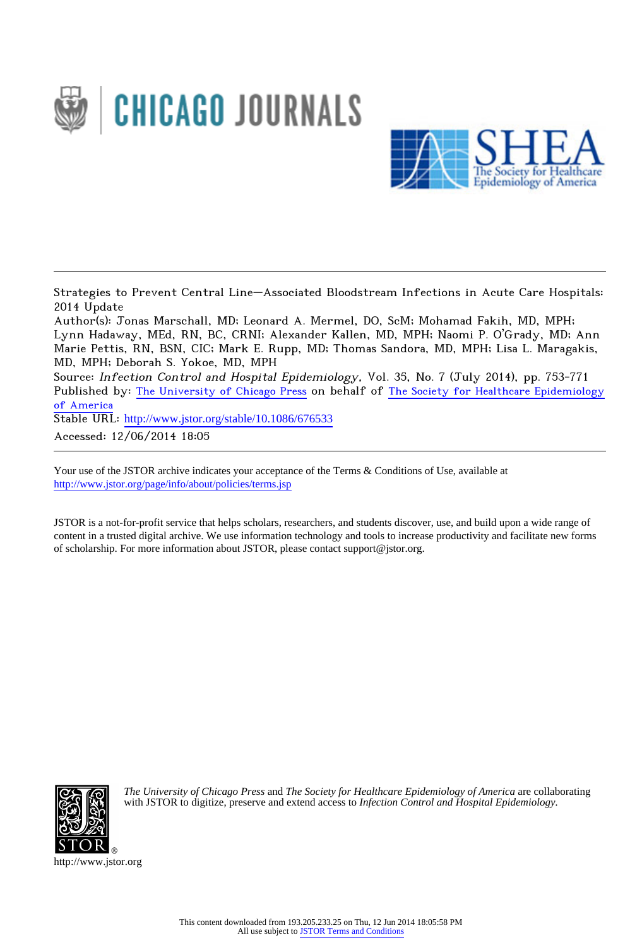



Strategies to Prevent Central Line–Associated Bloodstream Infections in Acute Care Hospitals: 2014 Update

Author(s): Jonas Marschall, MD; Leonard A. Mermel, DO, ScM; Mohamad Fakih, MD, MPH; Lynn Hadaway, MEd, RN, BC, CRNI; Alexander Kallen, MD, MPH; Naomi P. O'Grady, MD; Ann Marie Pettis, RN, BSN, CIC; Mark E. Rupp, MD; Thomas Sandora, MD, MPH; Lisa L. Maragakis, MD, MPH; Deborah S. Yokoe, MD, MPH

Source: Infection Control and Hospital Epidemiology, Vol. 35, No. 7 (July 2014), pp. 753-771 Published by: [The University of Chicago Press](http://www.jstor.org/action/showPublisher?publisherCode=ucpress) on behalf of [The Society for Healthcare Epidemiology](http://www.jstor.org/action/showPublisher?publisherCode=shea) [of America](http://www.jstor.org/action/showPublisher?publisherCode=shea)

Stable URL: http://www.jstor.org/stable/10.1086/676533 Accessed: 12/06/2014 18:05

Your use of the JSTOR archive indicates your acceptance of the Terms & Conditions of Use, available at <http://www.jstor.org/page/info/about/policies/terms.jsp>

JSTOR is a not-for-profit service that helps scholars, researchers, and students discover, use, and build upon a wide range of content in a trusted digital archive. We use information technology and tools to increase productivity and facilitate new forms of scholarship. For more information about JSTOR, please contact support@jstor.org.



*The University of Chicago Press* and *The Society for Healthcare Epidemiology of America* are collaborating with JSTOR to digitize, preserve and extend access to *Infection Control and Hospital Epidemiology.*

http://www.jstor.org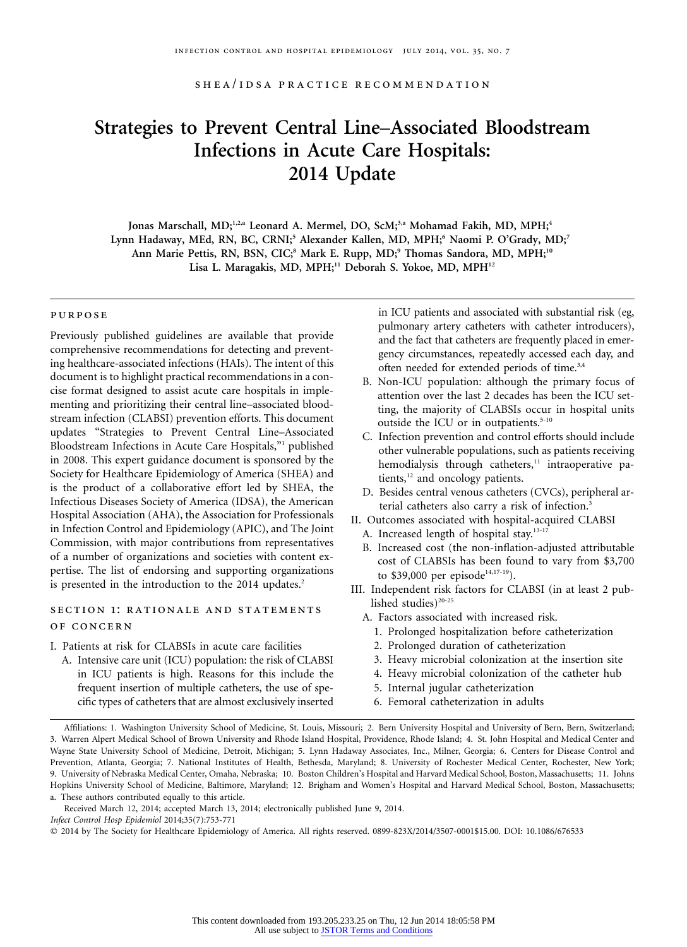# **Strategies to Prevent Central Line–Associated Bloodstream Infections in Acute Care Hospitals: 2014 Update**

Jonas Marschall, MD;<sup>1,2,a</sup> Leonard A. Mermel, DO, ScM;<sup>3,a</sup> Mohamad Fakih, MD, MPH;<sup>4</sup> Lynn Hadaway, MEd, RN, BC, CRNI;<sup>5</sup> Alexander Kallen, MD, MPH;<sup>6</sup> Naomi P. O'Grady, MD;<sup>7</sup> Ann Marie Pettis, RN, BSN, CIC;<sup>8</sup> Mark E. Rupp, MD;<sup>9</sup> Thomas Sandora, MD, MPH;<sup>10</sup> Lisa L. Maragakis, MD, MPH;<sup>11</sup> Deborah S. Yokoe, MD, MPH<sup>12</sup>

#### purpose

Previously published guidelines are available that provide comprehensive recommendations for detecting and preventing healthcare-associated infections (HAIs). The intent of this document is to highlight practical recommendations in a concise format designed to assist acute care hospitals in implementing and prioritizing their central line–associated bloodstream infection (CLABSI) prevention efforts. This document updates "Strategies to Prevent Central Line–Associated Bloodstream Infections in Acute Care Hospitals,"1 published in 2008. This expert guidance document is sponsored by the Society for Healthcare Epidemiology of America (SHEA) and is the product of a collaborative effort led by SHEA, the Infectious Diseases Society of America (IDSA), the American Hospital Association (AHA), the Association for Professionals in Infection Control and Epidemiology (APIC), and The Joint Commission, with major contributions from representatives of a number of organizations and societies with content expertise. The list of endorsing and supporting organizations is presented in the introduction to the 2014 updates.<sup>2</sup>

# section 1: rationale and statements of concern

I. Patients at risk for CLABSIs in acute care facilities

A. Intensive care unit (ICU) population: the risk of CLABSI in ICU patients is high. Reasons for this include the frequent insertion of multiple catheters, the use of specific types of catheters that are almost exclusively inserted

in ICU patients and associated with substantial risk (eg, pulmonary artery catheters with catheter introducers), and the fact that catheters are frequently placed in emergency circumstances, repeatedly accessed each day, and often needed for extended periods of time.<sup>3,4</sup>

- B. Non-ICU population: although the primary focus of attention over the last 2 decades has been the ICU setting, the majority of CLABSIs occur in hospital units outside the ICU or in outpatients.<sup>5-10</sup>
- C. Infection prevention and control efforts should include other vulnerable populations, such as patients receiving hemodialysis through catheters,<sup>11</sup> intraoperative patients, $12$  and oncology patients.
- D. Besides central venous catheters (CVCs), peripheral arterial catheters also carry a risk of infection.<sup>3</sup>
- II. Outcomes associated with hospital-acquired CLABSI
	- A. Increased length of hospital stay.<sup>13-17</sup>
	- B. Increased cost (the non-inflation-adjusted attributable cost of CLABSIs has been found to vary from \$3,700 to \$39,000 per episode<sup>14,17-19</sup>).
- III. Independent risk factors for CLABSI (in at least 2 published studies) $20-25$ 
	- A. Factors associated with increased risk.
		- 1. Prolonged hospitalization before catheterization
		- 2. Prolonged duration of catheterization
		- 3. Heavy microbial colonization at the insertion site
		- 4. Heavy microbial colonization of the catheter hub
		- 5. Internal jugular catheterization
		- 6. Femoral catheterization in adults

Affiliations: 1. Washington University School of Medicine, St. Louis, Missouri; 2. Bern University Hospital and University of Bern, Bern, Switzerland; 3. Warren Alpert Medical School of Brown University and Rhode Island Hospital, Providence, Rhode Island; 4. St. John Hospital and Medical Center and Wayne State University School of Medicine, Detroit, Michigan; 5. Lynn Hadaway Associates, Inc., Milner, Georgia; 6. Centers for Disease Control and Prevention, Atlanta, Georgia; 7. National Institutes of Health, Bethesda, Maryland; 8. University of Rochester Medical Center, Rochester, New York; 9. University of Nebraska Medical Center, Omaha, Nebraska; 10. Boston Children's Hospital and Harvard Medical School, Boston, Massachusetts; 11. Johns Hopkins University School of Medicine, Baltimore, Maryland; 12. Brigham and Women's Hospital and Harvard Medical School, Boston, Massachusetts; a. These authors contributed equally to this article.

Received March 12, 2014; accepted March 13, 2014; electronically published June 9, 2014.

*Infect Control Hosp Epidemiol* 2014;35(7):753-771

<sup>-</sup> 2014 by The Society for Healthcare Epidemiology of America. All rights reserved. 0899-823X/2014/3507-0001\$15.00. DOI: 10.1086/676533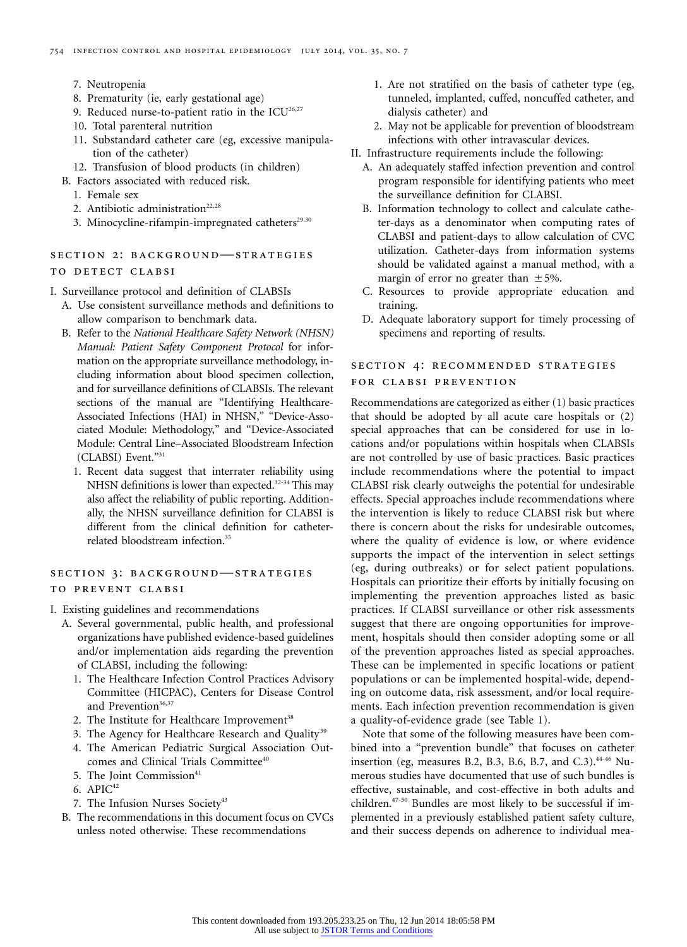- 7. Neutropenia
- 8. Prematurity (ie, early gestational age)
- 9. Reduced nurse-to-patient ratio in the  $ICU<sup>26,27</sup>$
- 10. Total parenteral nutrition
- 11. Substandard catheter care (eg, excessive manipulation of the catheter)
- 12. Transfusion of blood products (in children)
- B. Factors associated with reduced risk.
	- 1. Female sex
	- 2. Antibiotic administration<sup>22,28</sup>
	- 3. Minocycline-rifampin-impregnated catheters $29,30$

# section 2: background—strategies TO DETECT CLABSI

I. Surveillance protocol and definition of CLABSIs

- A. Use consistent surveillance methods and definitions to allow comparison to benchmark data.
- B. Refer to the *National Healthcare Safety Network (NHSN) Manual: Patient Safety Component Protocol* for information on the appropriate surveillance methodology, including information about blood specimen collection, and for surveillance definitions of CLABSIs. The relevant sections of the manual are "Identifying Healthcare-Associated Infections (HAI) in NHSN," "Device-Associated Module: Methodology," and "Device-Associated Module: Central Line–Associated Bloodstream Infection (CLABSI) Event."31
	- 1. Recent data suggest that interrater reliability using NHSN definitions is lower than expected.<sup>32-34</sup> This may also affect the reliability of public reporting. Additionally, the NHSN surveillance definition for CLABSI is different from the clinical definition for catheterrelated bloodstream infection.35

## section 3: background—strategies to prevent clabsi

- I. Existing guidelines and recommendations
	- A. Several governmental, public health, and professional organizations have published evidence-based guidelines and/or implementation aids regarding the prevention of CLABSI, including the following:
		- 1. The Healthcare Infection Control Practices Advisory Committee (HICPAC), Centers for Disease Control and Prevention<sup>36,37</sup>
		- 2. The Institute for Healthcare Improvement<sup>38</sup>
		- 3. The Agency for Healthcare Research and Quality<sup>39</sup>
		- 4. The American Pediatric Surgical Association Outcomes and Clinical Trials Committee<sup>40</sup>
		- 5. The Joint Commission<sup>41</sup>
		- 6.  $APIC<sup>42</sup>$
		- 7. The Infusion Nurses Society<sup>43</sup>
	- B. The recommendations in this document focus on CVCs unless noted otherwise. These recommendations
- 1. Are not stratified on the basis of catheter type (eg, tunneled, implanted, cuffed, noncuffed catheter, and dialysis catheter) and
- 2. May not be applicable for prevention of bloodstream infections with other intravascular devices.
- II. Infrastructure requirements include the following:
	- A. An adequately staffed infection prevention and control program responsible for identifying patients who meet the surveillance definition for CLABSI.
	- B. Information technology to collect and calculate catheter-days as a denominator when computing rates of CLABSI and patient-days to allow calculation of CVC utilization. Catheter-days from information systems should be validated against a manual method, with a margin of error no greater than  $\pm$  5%.
	- C. Resources to provide appropriate education and training.
	- D. Adequate laboratory support for timely processing of specimens and reporting of results.

# section 4: recommended strategies for clabsi prevention

Recommendations are categorized as either (1) basic practices that should be adopted by all acute care hospitals or (2) special approaches that can be considered for use in locations and/or populations within hospitals when CLABSIs are not controlled by use of basic practices. Basic practices include recommendations where the potential to impact CLABSI risk clearly outweighs the potential for undesirable effects. Special approaches include recommendations where the intervention is likely to reduce CLABSI risk but where there is concern about the risks for undesirable outcomes, where the quality of evidence is low, or where evidence supports the impact of the intervention in select settings (eg, during outbreaks) or for select patient populations. Hospitals can prioritize their efforts by initially focusing on implementing the prevention approaches listed as basic practices. If CLABSI surveillance or other risk assessments suggest that there are ongoing opportunities for improvement, hospitals should then consider adopting some or all of the prevention approaches listed as special approaches. These can be implemented in specific locations or patient populations or can be implemented hospital-wide, depending on outcome data, risk assessment, and/or local requirements. Each infection prevention recommendation is given a quality-of-evidence grade (see Table 1).

Note that some of the following measures have been combined into a "prevention bundle" that focuses on catheter insertion (eg, measures B.2, B.3, B.6, B.7, and C.3). $44-46$  Numerous studies have documented that use of such bundles is effective, sustainable, and cost-effective in both adults and children.47-50 Bundles are most likely to be successful if implemented in a previously established patient safety culture, and their success depends on adherence to individual mea-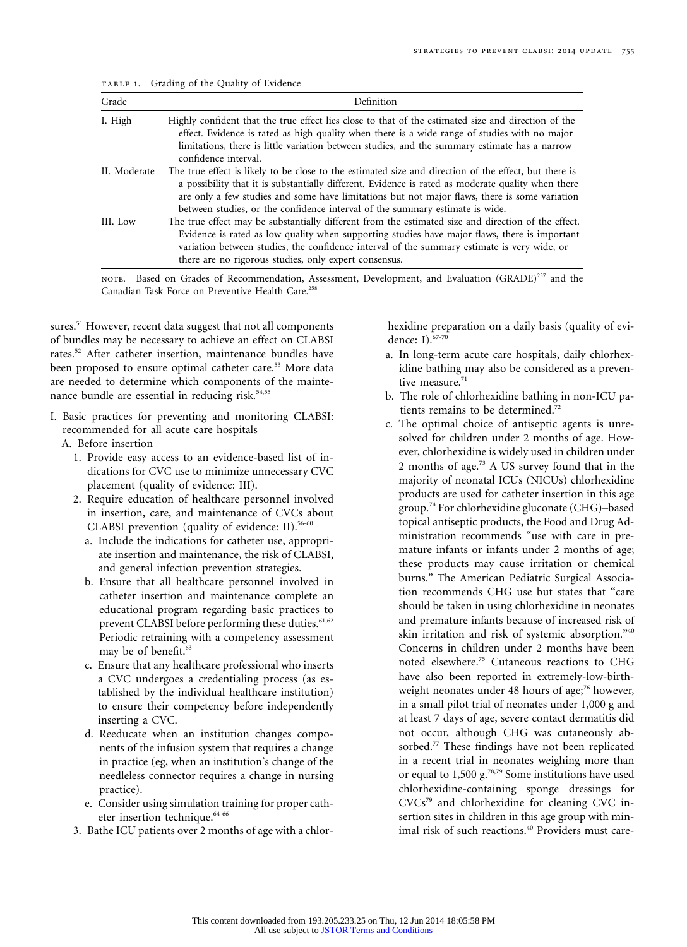| Grade        | Definition                                                                                                                                                                                                                                                                                                                                                                                   |
|--------------|----------------------------------------------------------------------------------------------------------------------------------------------------------------------------------------------------------------------------------------------------------------------------------------------------------------------------------------------------------------------------------------------|
| I. High      | Highly confident that the true effect lies close to that of the estimated size and direction of the<br>effect. Evidence is rated as high quality when there is a wide range of studies with no major<br>limitations, there is little variation between studies, and the summary estimate has a narrow<br>confidence interval.                                                                |
| II. Moderate | The true effect is likely to be close to the estimated size and direction of the effect, but there is<br>a possibility that it is substantially different. Evidence is rated as moderate quality when there<br>are only a few studies and some have limitations but not major flaws, there is some variation<br>between studies, or the confidence interval of the summary estimate is wide. |
| III. Low     | The true effect may be substantially different from the estimated size and direction of the effect.<br>Evidence is rated as low quality when supporting studies have major flaws, there is important<br>variation between studies, the confidence interval of the summary estimate is very wide, or<br>there are no rigorous studies, only expert consensus.                                 |

TABLE 1. Grading of the Quality of Evidence

NOTE. Based on Grades of Recommendation, Assessment, Development, and Evaluation (GRADE)<sup>257</sup> and the Canadian Task Force on Preventive Health Care.<sup>258</sup>

sures.<sup>51</sup> However, recent data suggest that not all components of bundles may be necessary to achieve an effect on CLABSI rates.<sup>52</sup> After catheter insertion, maintenance bundles have been proposed to ensure optimal catheter care.<sup>53</sup> More data are needed to determine which components of the maintenance bundle are essential in reducing risk.<sup>54,55</sup>

- I. Basic practices for preventing and monitoring CLABSI: recommended for all acute care hospitals
	- A. Before insertion
		- 1. Provide easy access to an evidence-based list of indications for CVC use to minimize unnecessary CVC placement (quality of evidence: III).
		- 2. Require education of healthcare personnel involved in insertion, care, and maintenance of CVCs about CLABSI prevention (quality of evidence: II).<sup>56-60</sup>
			- a. Include the indications for catheter use, appropriate insertion and maintenance, the risk of CLABSI, and general infection prevention strategies.
			- b. Ensure that all healthcare personnel involved in catheter insertion and maintenance complete an educational program regarding basic practices to prevent CLABSI before performing these duties.<sup>61,62</sup> Periodic retraining with a competency assessment may be of benefit.<sup>63</sup>
			- c. Ensure that any healthcare professional who inserts a CVC undergoes a credentialing process (as established by the individual healthcare institution) to ensure their competency before independently inserting a CVC.
			- d. Reeducate when an institution changes components of the infusion system that requires a change in practice (eg, when an institution's change of the needleless connector requires a change in nursing practice).
			- e. Consider using simulation training for proper catheter insertion technique.<sup>64-66</sup>
		- 3. Bathe ICU patients over 2 months of age with a chlor-

hexidine preparation on a daily basis (quality of evidence: I).67-70

- a. In long-term acute care hospitals, daily chlorhexidine bathing may also be considered as a preventive measure.<sup>71</sup>
- b. The role of chlorhexidine bathing in non-ICU patients remains to be determined.<sup>72</sup>
- c. The optimal choice of antiseptic agents is unresolved for children under 2 months of age. However, chlorhexidine is widely used in children under 2 months of age.73 A US survey found that in the majority of neonatal ICUs (NICUs) chlorhexidine products are used for catheter insertion in this age group.74 For chlorhexidine gluconate (CHG)–based topical antiseptic products, the Food and Drug Administration recommends "use with care in premature infants or infants under 2 months of age; these products may cause irritation or chemical burns." The American Pediatric Surgical Association recommends CHG use but states that "care should be taken in using chlorhexidine in neonates and premature infants because of increased risk of skin irritation and risk of systemic absorption."40 Concerns in children under 2 months have been noted elsewhere.<sup>75</sup> Cutaneous reactions to CHG have also been reported in extremely-low-birthweight neonates under 48 hours of age;<sup>76</sup> however, in a small pilot trial of neonates under 1,000 g and at least 7 days of age, severe contact dermatitis did not occur, although CHG was cutaneously absorbed.<sup>77</sup> These findings have not been replicated in a recent trial in neonates weighing more than or equal to 1,500  $g<sup>78,79</sup>$  Some institutions have used chlorhexidine-containing sponge dressings for  $CVCs^{79}$  and chlorhexidine for cleaning CVC insertion sites in children in this age group with minimal risk of such reactions.<sup>40</sup> Providers must care-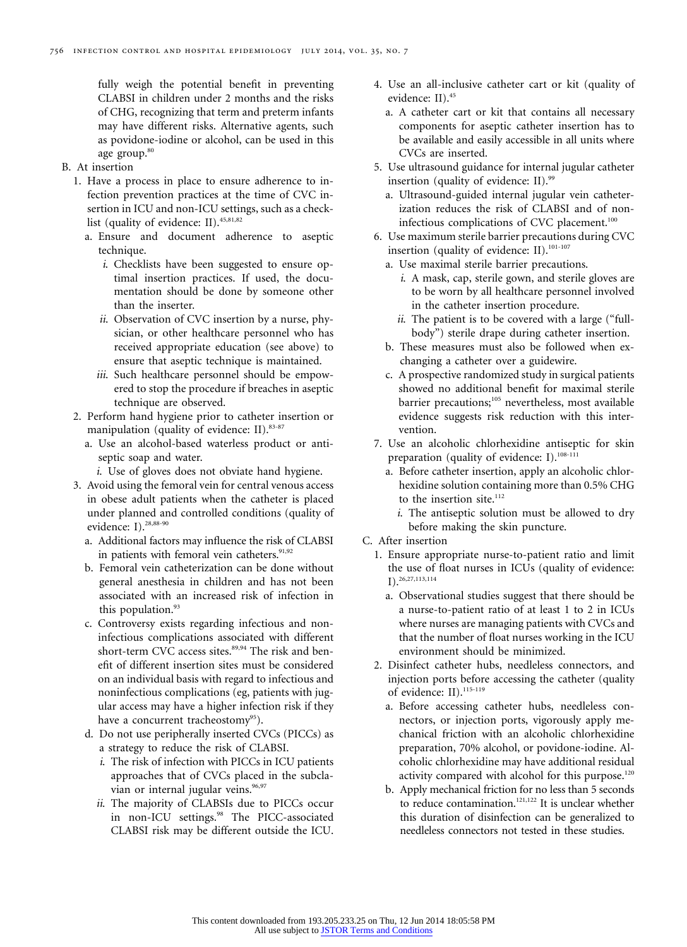fully weigh the potential benefit in preventing CLABSI in children under 2 months and the risks of CHG, recognizing that term and preterm infants may have different risks. Alternative agents, such as povidone-iodine or alcohol, can be used in this age group.<sup>80</sup>

- B. At insertion
	- 1. Have a process in place to ensure adherence to infection prevention practices at the time of CVC insertion in ICU and non-ICU settings, such as a checklist (quality of evidence: II). $45,81,82$ 
		- a. Ensure and document adherence to aseptic technique.
			- *i*. Checklists have been suggested to ensure optimal insertion practices. If used, the documentation should be done by someone other than the inserter.
			- *ii*. Observation of CVC insertion by a nurse, physician, or other healthcare personnel who has received appropriate education (see above) to ensure that aseptic technique is maintained.
			- *iii*. Such healthcare personnel should be empowered to stop the procedure if breaches in aseptic technique are observed.
	- 2. Perform hand hygiene prior to catheter insertion or manipulation (quality of evidence: II). 83-87
		- a. Use an alcohol-based waterless product or antiseptic soap and water.
			- *i*. Use of gloves does not obviate hand hygiene.
	- 3. Avoid using the femoral vein for central venous access in obese adult patients when the catheter is placed under planned and controlled conditions (quality of evidence: I).<sup>28,88-90</sup>
		- a. Additional factors may influence the risk of CLABSI in patients with femoral vein catheters.<sup>91,92</sup>
		- b. Femoral vein catheterization can be done without general anesthesia in children and has not been associated with an increased risk of infection in this population.<sup>93</sup>
		- c. Controversy exists regarding infectious and noninfectious complications associated with different short-term CVC access sites.<sup>89,94</sup> The risk and benefit of different insertion sites must be considered on an individual basis with regard to infectious and noninfectious complications (eg, patients with jugular access may have a higher infection risk if they have a concurrent tracheostomy<sup>95</sup>).
		- d. Do not use peripherally inserted CVCs (PICCs) as a strategy to reduce the risk of CLABSI.
			- *i*. The risk of infection with PICCs in ICU patients approaches that of CVCs placed in the subclavian or internal jugular veins.<sup>96,97</sup>
			- *ii*. The majority of CLABSIs due to PICCs occur in non-ICU settings.<sup>98</sup> The PICC-associated CLABSI risk may be different outside the ICU.
- 4. Use an all-inclusive catheter cart or kit (quality of evidence: II).<sup>45</sup>
	- a. A catheter cart or kit that contains all necessary components for aseptic catheter insertion has to be available and easily accessible in all units where CVCs are inserted.
- 5. Use ultrasound guidance for internal jugular catheter insertion (quality of evidence: II).<sup>99</sup>
	- a. Ultrasound-guided internal jugular vein catheterization reduces the risk of CLABSI and of noninfectious complications of CVC placement.<sup>100</sup>
- 6. Use maximum sterile barrier precautions during CVC insertion (quality of evidence: II). $^{101-107}$ 
	- a. Use maximal sterile barrier precautions.
		- *i*. A mask, cap, sterile gown, and sterile gloves are to be worn by all healthcare personnel involved in the catheter insertion procedure.
		- *ii*. The patient is to be covered with a large ("fullbody") sterile drape during catheter insertion.
	- b. These measures must also be followed when exchanging a catheter over a guidewire.
	- c. A prospective randomized study in surgical patients showed no additional benefit for maximal sterile barrier precautions;<sup>105</sup> nevertheless, most available evidence suggests risk reduction with this intervention.
- 7. Use an alcoholic chlorhexidine antiseptic for skin preparation (quality of evidence: I).<sup>108-111</sup>
	- a. Before catheter insertion, apply an alcoholic chlorhexidine solution containing more than 0.5% CHG to the insertion site. $112$ 
		- *i*. The antiseptic solution must be allowed to dry before making the skin puncture.
- C. After insertion
	- 1. Ensure appropriate nurse-to-patient ratio and limit the use of float nurses in ICUs (quality of evidence: I).26,27,113,114
		- a. Observational studies suggest that there should be a nurse-to-patient ratio of at least 1 to 2 in ICUs where nurses are managing patients with CVCs and that the number of float nurses working in the ICU environment should be minimized.
	- 2. Disinfect catheter hubs, needleless connectors, and injection ports before accessing the catheter (quality of evidence: II).<sup>115-119</sup>
		- a. Before accessing catheter hubs, needleless connectors, or injection ports, vigorously apply mechanical friction with an alcoholic chlorhexidine preparation, 70% alcohol, or povidone-iodine. Alcoholic chlorhexidine may have additional residual activity compared with alcohol for this purpose.<sup>120</sup>
		- b. Apply mechanical friction for no less than 5 seconds to reduce contamination.<sup>121,122</sup> It is unclear whether this duration of disinfection can be generalized to needleless connectors not tested in these studies.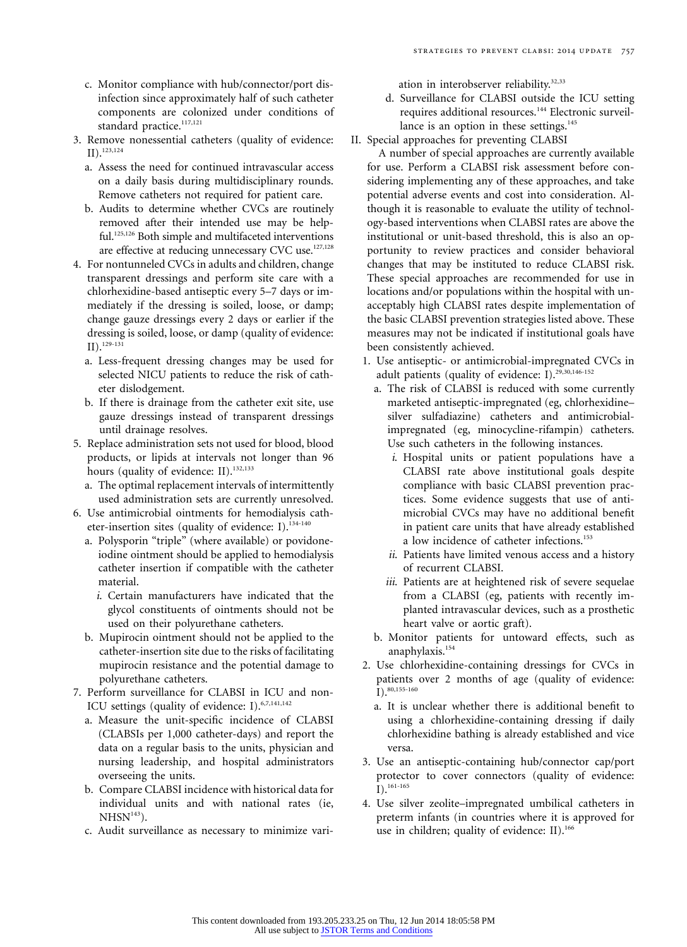- c. Monitor compliance with hub/connector/port disinfection since approximately half of such catheter components are colonized under conditions of standard practice.<sup>117,121</sup>
- 3. Remove nonessential catheters (quality of evidence: II).123,124
	- a. Assess the need for continued intravascular access on a daily basis during multidisciplinary rounds. Remove catheters not required for patient care.
	- b. Audits to determine whether CVCs are routinely removed after their intended use may be helpful.<sup>125,126</sup> Both simple and multifaceted interventions are effective at reducing unnecessary CVC use.<sup>127,128</sup>
- 4. For nontunneled CVCs in adults and children, change transparent dressings and perform site care with a chlorhexidine-based antiseptic every 5–7 days or immediately if the dressing is soiled, loose, or damp; change gauze dressings every 2 days or earlier if the dressing is soiled, loose, or damp (quality of evidence:  $\prod$ ).<sup>129-131</sup>
	- a. Less-frequent dressing changes may be used for selected NICU patients to reduce the risk of catheter dislodgement.
	- b. If there is drainage from the catheter exit site, use gauze dressings instead of transparent dressings until drainage resolves.
- 5. Replace administration sets not used for blood, blood products, or lipids at intervals not longer than 96 hours (quality of evidence: II).<sup>132,133</sup>
	- a. The optimal replacement intervals of intermittently used administration sets are currently unresolved.
- 6. Use antimicrobial ointments for hemodialysis catheter-insertion sites (quality of evidence: I).<sup>134-140</sup>
	- a. Polysporin "triple" (where available) or povidoneiodine ointment should be applied to hemodialysis catheter insertion if compatible with the catheter material.
		- *i*. Certain manufacturers have indicated that the glycol constituents of ointments should not be used on their polyurethane catheters.
	- b. Mupirocin ointment should not be applied to the catheter-insertion site due to the risks of facilitating mupirocin resistance and the potential damage to polyurethane catheters.
- 7. Perform surveillance for CLABSI in ICU and non-ICU settings (quality of evidence: I).<sup>6,7,141,142</sup>
	- a. Measure the unit-specific incidence of CLABSI (CLABSIs per 1,000 catheter-days) and report the data on a regular basis to the units, physician and nursing leadership, and hospital administrators overseeing the units.
	- b. Compare CLABSI incidence with historical data for individual units and with national rates (ie,  $NHSN<sup>143</sup>$ ).
	- c. Audit surveillance as necessary to minimize vari-

ation in interobserver reliability.<sup>32,33</sup>

- d. Surveillance for CLABSI outside the ICU setting requires additional resources.<sup>144</sup> Electronic surveillance is an option in these settings.<sup>145</sup>
- II. Special approaches for preventing CLABSI

A number of special approaches are currently available for use. Perform a CLABSI risk assessment before considering implementing any of these approaches, and take potential adverse events and cost into consideration. Although it is reasonable to evaluate the utility of technology-based interventions when CLABSI rates are above the institutional or unit-based threshold, this is also an opportunity to review practices and consider behavioral changes that may be instituted to reduce CLABSI risk. These special approaches are recommended for use in locations and/or populations within the hospital with unacceptably high CLABSI rates despite implementation of the basic CLABSI prevention strategies listed above. These measures may not be indicated if institutional goals have been consistently achieved.

- 1. Use antiseptic- or antimicrobial-impregnated CVCs in adult patients (quality of evidence: I).<sup>29,30,146-152</sup>
	- a. The risk of CLABSI is reduced with some currently marketed antiseptic-impregnated (eg, chlorhexidine– silver sulfadiazine) catheters and antimicrobialimpregnated (eg, minocycline-rifampin) catheters. Use such catheters in the following instances.
		- *i*. Hospital units or patient populations have a CLABSI rate above institutional goals despite compliance with basic CLABSI prevention practices. Some evidence suggests that use of antimicrobial CVCs may have no additional benefit in patient care units that have already established a low incidence of catheter infections.153
		- *ii*. Patients have limited venous access and a history of recurrent CLABSI.
		- *iii*. Patients are at heightened risk of severe sequelae from a CLABSI (eg, patients with recently implanted intravascular devices, such as a prosthetic heart valve or aortic graft).
	- b. Monitor patients for untoward effects, such as anaphylaxis.154
- 2. Use chlorhexidine-containing dressings for CVCs in patients over 2 months of age (quality of evidence: I).80,155-160
	- a. It is unclear whether there is additional benefit to using a chlorhexidine-containing dressing if daily chlorhexidine bathing is already established and vice versa.
- 3. Use an antiseptic-containing hub/connector cap/port protector to cover connectors (quality of evidence:  $I).^{161-165}$
- 4. Use silver zeolite–impregnated umbilical catheters in preterm infants (in countries where it is approved for use in children; quality of evidence: II).<sup>166</sup>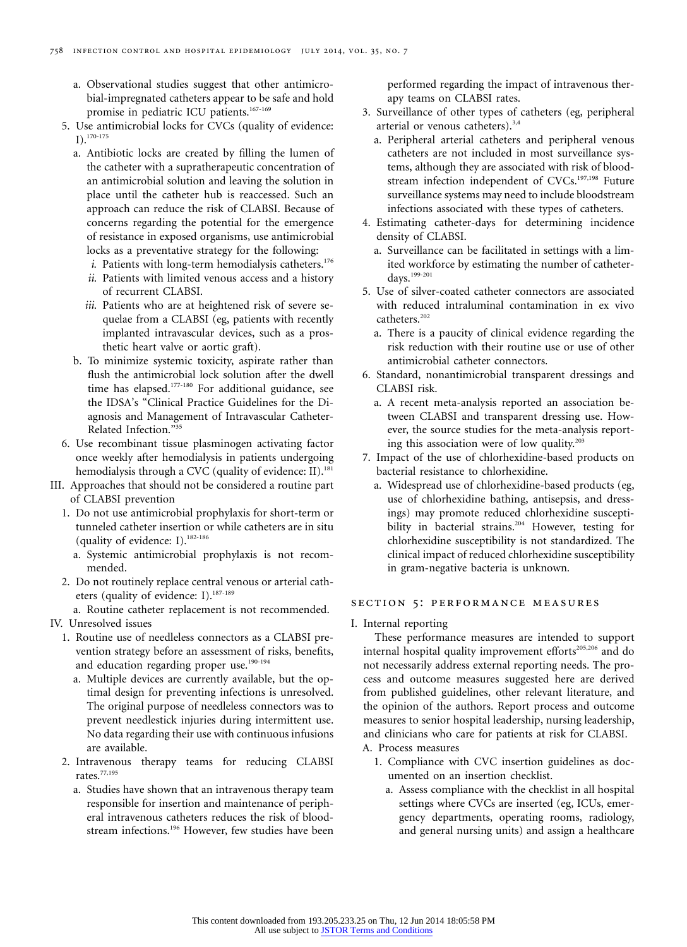- a. Observational studies suggest that other antimicrobial-impregnated catheters appear to be safe and hold promise in pediatric ICU patients.<sup>167-169</sup>
- 5. Use antimicrobial locks for CVCs (quality of evidence: I).170-175
	- a. Antibiotic locks are created by filling the lumen of the catheter with a supratherapeutic concentration of an antimicrobial solution and leaving the solution in place until the catheter hub is reaccessed. Such an approach can reduce the risk of CLABSI. Because of concerns regarding the potential for the emergence of resistance in exposed organisms, use antimicrobial locks as a preventative strategy for the following:
		- *i*. Patients with long-term hemodialysis catheters.<sup>176</sup>
		- *ii*. Patients with limited venous access and a history of recurrent CLABSI.
		- *iii*. Patients who are at heightened risk of severe sequelae from a CLABSI (eg, patients with recently implanted intravascular devices, such as a prosthetic heart valve or aortic graft).
	- b. To minimize systemic toxicity, aspirate rather than flush the antimicrobial lock solution after the dwell time has elapsed.<sup>177-180</sup> For additional guidance, see the IDSA's "Clinical Practice Guidelines for the Diagnosis and Management of Intravascular Catheter-Related Infection."35
- 6. Use recombinant tissue plasminogen activating factor once weekly after hemodialysis in patients undergoing hemodialysis through a CVC (quality of evidence: II).<sup>181</sup>
- III. Approaches that should not be considered a routine part of CLABSI prevention
	- 1. Do not use antimicrobial prophylaxis for short-term or tunneled catheter insertion or while catheters are in situ (quality of evidence: I).<sup>182-186</sup>
		- a. Systemic antimicrobial prophylaxis is not recommended.
	- 2. Do not routinely replace central venous or arterial catheters (quality of evidence: I).<sup>187-189</sup>
- a. Routine catheter replacement is not recommended.
- IV. Unresolved issues
	- 1. Routine use of needleless connectors as a CLABSI prevention strategy before an assessment of risks, benefits, and education regarding proper use.<sup>190-194</sup>
		- a. Multiple devices are currently available, but the optimal design for preventing infections is unresolved. The original purpose of needleless connectors was to prevent needlestick injuries during intermittent use. No data regarding their use with continuous infusions are available.
	- 2. Intravenous therapy teams for reducing CLABSI rates.77,195
		- a. Studies have shown that an intravenous therapy team responsible for insertion and maintenance of peripheral intravenous catheters reduces the risk of bloodstream infections.<sup>196</sup> However, few studies have been

performed regarding the impact of intravenous therapy teams on CLABSI rates.

- 3. Surveillance of other types of catheters (eg, peripheral arterial or venous catheters).<sup>3,4</sup>
	- a. Peripheral arterial catheters and peripheral venous catheters are not included in most surveillance systems, although they are associated with risk of bloodstream infection independent of CVCs.<sup>197,198</sup> Future surveillance systems may need to include bloodstream infections associated with these types of catheters.
- 4. Estimating catheter-days for determining incidence density of CLABSI.
	- a. Surveillance can be facilitated in settings with a limited workforce by estimating the number of catheterdays.199-201
- 5. Use of silver-coated catheter connectors are associated with reduced intraluminal contamination in ex vivo catheters.<sup>202</sup>
	- a. There is a paucity of clinical evidence regarding the risk reduction with their routine use or use of other antimicrobial catheter connectors.
- 6. Standard, nonantimicrobial transparent dressings and CLABSI risk.
	- a. A recent meta-analysis reported an association between CLABSI and transparent dressing use. However, the source studies for the meta-analysis reporting this association were of low quality.203
- 7. Impact of the use of chlorhexidine-based products on bacterial resistance to chlorhexidine.
	- a. Widespread use of chlorhexidine-based products (eg, use of chlorhexidine bathing, antisepsis, and dressings) may promote reduced chlorhexidine susceptibility in bacterial strains.<sup>204</sup> However, testing for chlorhexidine susceptibility is not standardized. The clinical impact of reduced chlorhexidine susceptibility in gram-negative bacteria is unknown.

#### section 5: performance measures

I. Internal reporting

These performance measures are intended to support internal hospital quality improvement efforts<sup>205,206</sup> and do not necessarily address external reporting needs. The process and outcome measures suggested here are derived from published guidelines, other relevant literature, and the opinion of the authors. Report process and outcome measures to senior hospital leadership, nursing leadership, and clinicians who care for patients at risk for CLABSI. A. Process measures

- 1. Compliance with CVC insertion guidelines as documented on an insertion checklist.
	- a. Assess compliance with the checklist in all hospital settings where CVCs are inserted (eg, ICUs, emergency departments, operating rooms, radiology, and general nursing units) and assign a healthcare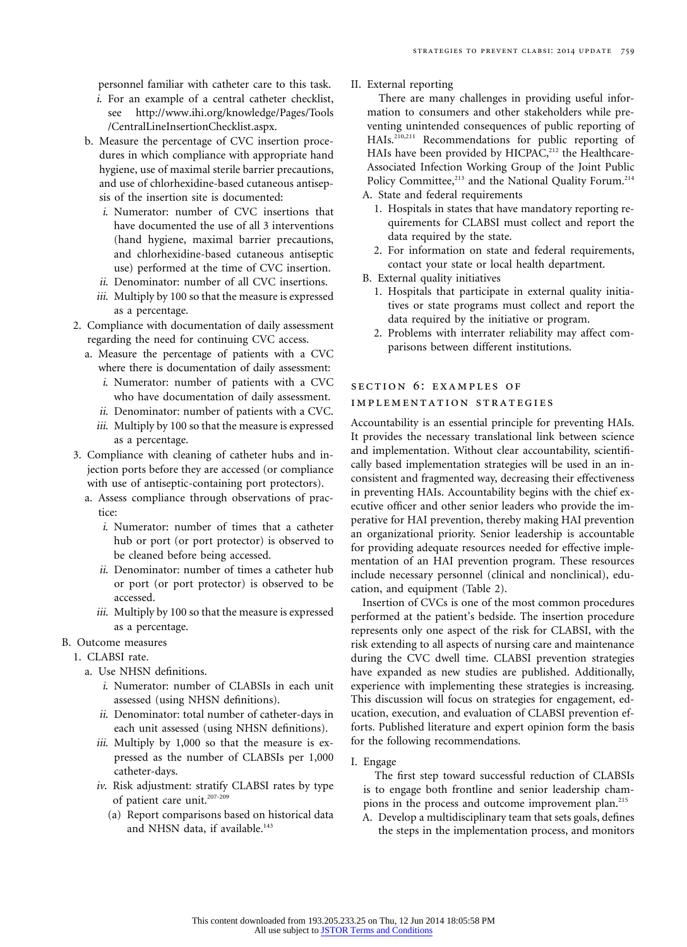personnel familiar with catheter care to this task.

- *i*. For an example of a central catheter checklist, see [http://www.ihi.org/knowledge/Pages/Tools](http://www.ihi.org/knowledge/Pages/Tools/CentralLineInsertionChecklist.aspx) [/CentralLineInsertionChecklist.aspx.](http://www.ihi.org/knowledge/Pages/Tools/CentralLineInsertionChecklist.aspx)
- b. Measure the percentage of CVC insertion procedures in which compliance with appropriate hand hygiene, use of maximal sterile barrier precautions, and use of chlorhexidine-based cutaneous antisepsis of the insertion site is documented:
	- *i*. Numerator: number of CVC insertions that have documented the use of all 3 interventions (hand hygiene, maximal barrier precautions, and chlorhexidine-based cutaneous antiseptic use) performed at the time of CVC insertion.
	- *ii*. Denominator: number of all CVC insertions.
	- *iii*. Multiply by 100 so that the measure is expressed as a percentage.
- 2. Compliance with documentation of daily assessment regarding the need for continuing CVC access.
	- a. Measure the percentage of patients with a CVC where there is documentation of daily assessment:
		- *i*. Numerator: number of patients with a CVC who have documentation of daily assessment.
		- *ii*. Denominator: number of patients with a CVC. *iii*. Multiply by 100 so that the measure is expressed as a percentage.
- 3. Compliance with cleaning of catheter hubs and injection ports before they are accessed (or compliance with use of antiseptic-containing port protectors).
	- a. Assess compliance through observations of practice:
		- *i*. Numerator: number of times that a catheter hub or port (or port protector) is observed to be cleaned before being accessed.
		- *ii*. Denominator: number of times a catheter hub or port (or port protector) is observed to be accessed.
		- *iii*. Multiply by 100 so that the measure is expressed as a percentage.

## B. Outcome measures

- 1. CLABSI rate.
	- a. Use NHSN definitions.
		- *i*. Numerator: number of CLABSIs in each unit assessed (using NHSN definitions).
		- *ii*. Denominator: total number of catheter-days in each unit assessed (using NHSN definitions).
		- *iii*. Multiply by 1,000 so that the measure is expressed as the number of CLABSIs per 1,000 catheter-days.
		- *iv*. Risk adjustment: stratify CLABSI rates by type of patient care unit.<sup>207-209</sup>
			- (a) Report comparisons based on historical data and NHSN data, if available.<sup>143</sup>

II. External reporting

There are many challenges in providing useful information to consumers and other stakeholders while preventing unintended consequences of public reporting of HAIs.210,211 Recommendations for public reporting of HAIs have been provided by HICPAC,<sup>212</sup> the Healthcare-Associated Infection Working Group of the Joint Public Policy Committee,<sup>213</sup> and the National Quality Forum.<sup>214</sup> A. State and federal requirements

- 1. Hospitals in states that have mandatory reporting requirements for CLABSI must collect and report the data required by the state.
- 2. For information on state and federal requirements, contact your state or local health department.
- B. External quality initiatives
	- 1. Hospitals that participate in external quality initiatives or state programs must collect and report the data required by the initiative or program.
	- 2. Problems with interrater reliability may affect comparisons between different institutions.

# section 6: examples of implementation strategies

Accountability is an essential principle for preventing HAIs. It provides the necessary translational link between science and implementation. Without clear accountability, scientifically based implementation strategies will be used in an inconsistent and fragmented way, decreasing their effectiveness in preventing HAIs. Accountability begins with the chief executive officer and other senior leaders who provide the imperative for HAI prevention, thereby making HAI prevention an organizational priority. Senior leadership is accountable for providing adequate resources needed for effective implementation of an HAI prevention program. These resources include necessary personnel (clinical and nonclinical), education, and equipment (Table 2).

Insertion of CVCs is one of the most common procedures performed at the patient's bedside. The insertion procedure represents only one aspect of the risk for CLABSI, with the risk extending to all aspects of nursing care and maintenance during the CVC dwell time. CLABSI prevention strategies have expanded as new studies are published. Additionally, experience with implementing these strategies is increasing. This discussion will focus on strategies for engagement, education, execution, and evaluation of CLABSI prevention efforts. Published literature and expert opinion form the basis for the following recommendations.

#### I. Engage

The first step toward successful reduction of CLABSIs is to engage both frontline and senior leadership champions in the process and outcome improvement plan.<sup>215</sup>

A. Develop a multidisciplinary team that sets goals, defines the steps in the implementation process, and monitors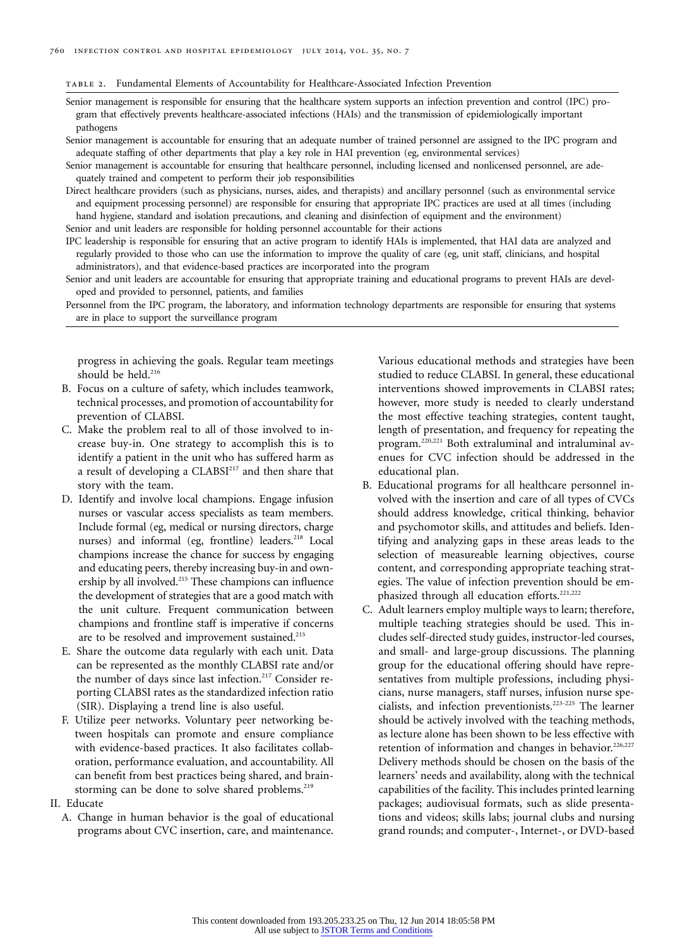#### table 2. Fundamental Elements of Accountability for Healthcare-Associated Infection Prevention

Senior management is responsible for ensuring that the healthcare system supports an infection prevention and control (IPC) program that effectively prevents healthcare-associated infections (HAIs) and the transmission of epidemiologically important pathogens

Senior management is accountable for ensuring that an adequate number of trained personnel are assigned to the IPC program and adequate staffing of other departments that play a key role in HAI prevention (eg, environmental services)

Senior management is accountable for ensuring that healthcare personnel, including licensed and nonlicensed personnel, are adequately trained and competent to perform their job responsibilities

Direct healthcare providers (such as physicians, nurses, aides, and therapists) and ancillary personnel (such as environmental service and equipment processing personnel) are responsible for ensuring that appropriate IPC practices are used at all times (including hand hygiene, standard and isolation precautions, and cleaning and disinfection of equipment and the environment)

Senior and unit leaders are responsible for holding personnel accountable for their actions

IPC leadership is responsible for ensuring that an active program to identify HAIs is implemented, that HAI data are analyzed and regularly provided to those who can use the information to improve the quality of care (eg, unit staff, clinicians, and hospital administrators), and that evidence-based practices are incorporated into the program

Senior and unit leaders are accountable for ensuring that appropriate training and educational programs to prevent HAIs are developed and provided to personnel, patients, and families

Personnel from the IPC program, the laboratory, and information technology departments are responsible for ensuring that systems are in place to support the surveillance program

progress in achieving the goals. Regular team meetings should be held. $216$ 

- B. Focus on a culture of safety, which includes teamwork, technical processes, and promotion of accountability for prevention of CLABSI.
- C. Make the problem real to all of those involved to increase buy-in. One strategy to accomplish this is to identify a patient in the unit who has suffered harm as a result of developing a CLABSI<sup>217</sup> and then share that story with the team.
- D. Identify and involve local champions. Engage infusion nurses or vascular access specialists as team members. Include formal (eg, medical or nursing directors, charge nurses) and informal (eg, frontline) leaders.<sup>218</sup> Local champions increase the chance for success by engaging and educating peers, thereby increasing buy-in and ownership by all involved.<sup>215</sup> These champions can influence the development of strategies that are a good match with the unit culture. Frequent communication between champions and frontline staff is imperative if concerns are to be resolved and improvement sustained.<sup>215</sup>
- E. Share the outcome data regularly with each unit. Data can be represented as the monthly CLABSI rate and/or the number of days since last infection.<sup>217</sup> Consider reporting CLABSI rates as the standardized infection ratio (SIR). Displaying a trend line is also useful.
- F. Utilize peer networks. Voluntary peer networking between hospitals can promote and ensure compliance with evidence-based practices. It also facilitates collaboration, performance evaluation, and accountability. All can benefit from best practices being shared, and brainstorming can be done to solve shared problems.<sup>219</sup>
- II. Educate
	- A. Change in human behavior is the goal of educational programs about CVC insertion, care, and maintenance.

Various educational methods and strategies have been studied to reduce CLABSI. In general, these educational interventions showed improvements in CLABSI rates; however, more study is needed to clearly understand the most effective teaching strategies, content taught, length of presentation, and frequency for repeating the program.220,221 Both extraluminal and intraluminal avenues for CVC infection should be addressed in the educational plan.

- B. Educational programs for all healthcare personnel involved with the insertion and care of all types of CVCs should address knowledge, critical thinking, behavior and psychomotor skills, and attitudes and beliefs. Identifying and analyzing gaps in these areas leads to the selection of measureable learning objectives, course content, and corresponding appropriate teaching strategies. The value of infection prevention should be emphasized through all education efforts.<sup>221,222</sup>
- C. Adult learners employ multiple ways to learn; therefore, multiple teaching strategies should be used. This includes self-directed study guides, instructor-led courses, and small- and large-group discussions. The planning group for the educational offering should have representatives from multiple professions, including physicians, nurse managers, staff nurses, infusion nurse specialists, and infection preventionists.223-225 The learner should be actively involved with the teaching methods, as lecture alone has been shown to be less effective with retention of information and changes in behavior.<sup>226,227</sup> Delivery methods should be chosen on the basis of the learners' needs and availability, along with the technical capabilities of the facility. This includes printed learning packages; audiovisual formats, such as slide presentations and videos; skills labs; journal clubs and nursing grand rounds; and computer-, Internet-, or DVD-based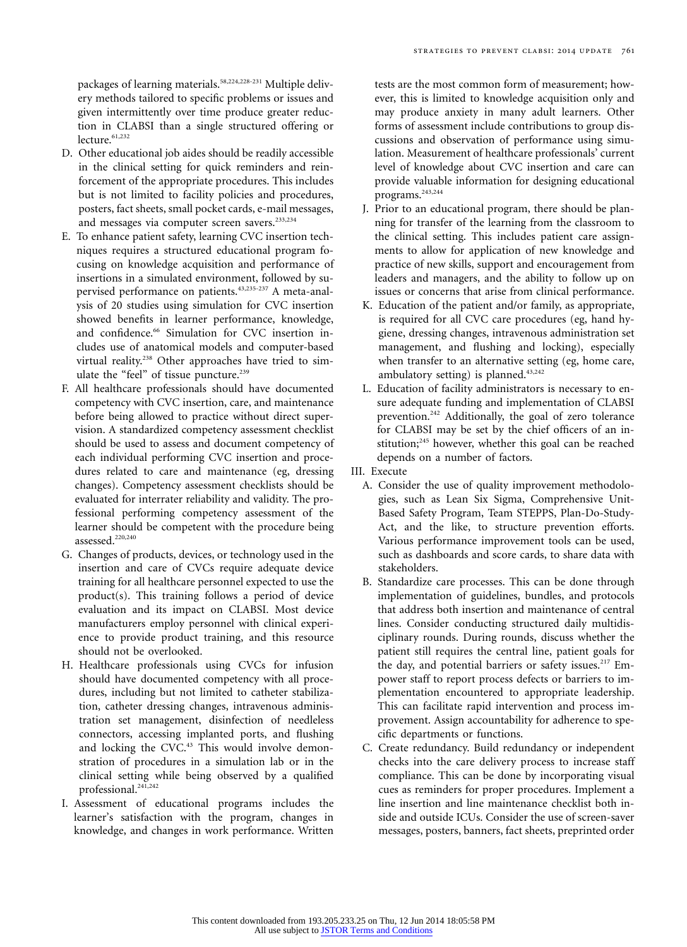packages of learning materials.<sup>58,224,228-231</sup> Multiple delivery methods tailored to specific problems or issues and given intermittently over time produce greater reduction in CLABSI than a single structured offering or  $lecture.<sup>61,232</sup>$ 

- D. Other educational job aides should be readily accessible in the clinical setting for quick reminders and reinforcement of the appropriate procedures. This includes but is not limited to facility policies and procedures, posters, fact sheets, small pocket cards, e-mail messages, and messages via computer screen savers.<sup>233,234</sup>
- E. To enhance patient safety, learning CVC insertion techniques requires a structured educational program focusing on knowledge acquisition and performance of insertions in a simulated environment, followed by supervised performance on patients.<sup>43,235-237</sup> A meta-analysis of 20 studies using simulation for CVC insertion showed benefits in learner performance, knowledge, and confidence.<sup>66</sup> Simulation for CVC insertion includes use of anatomical models and computer-based virtual reality.<sup>238</sup> Other approaches have tried to simulate the "feel" of tissue puncture.<sup>239</sup>
- F. All healthcare professionals should have documented competency with CVC insertion, care, and maintenance before being allowed to practice without direct supervision. A standardized competency assessment checklist should be used to assess and document competency of each individual performing CVC insertion and procedures related to care and maintenance (eg, dressing changes). Competency assessment checklists should be evaluated for interrater reliability and validity. The professional performing competency assessment of the learner should be competent with the procedure being assessed.<sup>220,240</sup>
- G. Changes of products, devices, or technology used in the insertion and care of CVCs require adequate device training for all healthcare personnel expected to use the product(s). This training follows a period of device evaluation and its impact on CLABSI. Most device manufacturers employ personnel with clinical experience to provide product training, and this resource should not be overlooked.
- H. Healthcare professionals using CVCs for infusion should have documented competency with all procedures, including but not limited to catheter stabilization, catheter dressing changes, intravenous administration set management, disinfection of needleless connectors, accessing implanted ports, and flushing and locking the CVC.<sup>43</sup> This would involve demonstration of procedures in a simulation lab or in the clinical setting while being observed by a qualified professional.241,242
- I. Assessment of educational programs includes the learner's satisfaction with the program, changes in knowledge, and changes in work performance. Written

tests are the most common form of measurement; however, this is limited to knowledge acquisition only and may produce anxiety in many adult learners. Other forms of assessment include contributions to group discussions and observation of performance using simulation. Measurement of healthcare professionals' current level of knowledge about CVC insertion and care can provide valuable information for designing educational programs.<sup>243,244</sup>

- J. Prior to an educational program, there should be planning for transfer of the learning from the classroom to the clinical setting. This includes patient care assignments to allow for application of new knowledge and practice of new skills, support and encouragement from leaders and managers, and the ability to follow up on issues or concerns that arise from clinical performance.
- K. Education of the patient and/or family, as appropriate, is required for all CVC care procedures (eg, hand hygiene, dressing changes, intravenous administration set management, and flushing and locking), especially when transfer to an alternative setting (eg, home care, ambulatory setting) is planned.<sup>43,242</sup>
- L. Education of facility administrators is necessary to ensure adequate funding and implementation of CLABSI prevention.242 Additionally, the goal of zero tolerance for CLABSI may be set by the chief officers of an institution;<sup>245</sup> however, whether this goal can be reached depends on a number of factors.
- III. Execute
	- A. Consider the use of quality improvement methodologies, such as Lean Six Sigma, Comprehensive Unit-Based Safety Program, Team STEPPS, Plan-Do-Study-Act, and the like, to structure prevention efforts. Various performance improvement tools can be used, such as dashboards and score cards, to share data with stakeholders.
	- B. Standardize care processes. This can be done through implementation of guidelines, bundles, and protocols that address both insertion and maintenance of central lines. Consider conducting structured daily multidisciplinary rounds. During rounds, discuss whether the patient still requires the central line, patient goals for the day, and potential barriers or safety issues.<sup>217</sup> Empower staff to report process defects or barriers to implementation encountered to appropriate leadership. This can facilitate rapid intervention and process improvement. Assign accountability for adherence to specific departments or functions.
	- C. Create redundancy. Build redundancy or independent checks into the care delivery process to increase staff compliance. This can be done by incorporating visual cues as reminders for proper procedures. Implement a line insertion and line maintenance checklist both inside and outside ICUs. Consider the use of screen-saver messages, posters, banners, fact sheets, preprinted order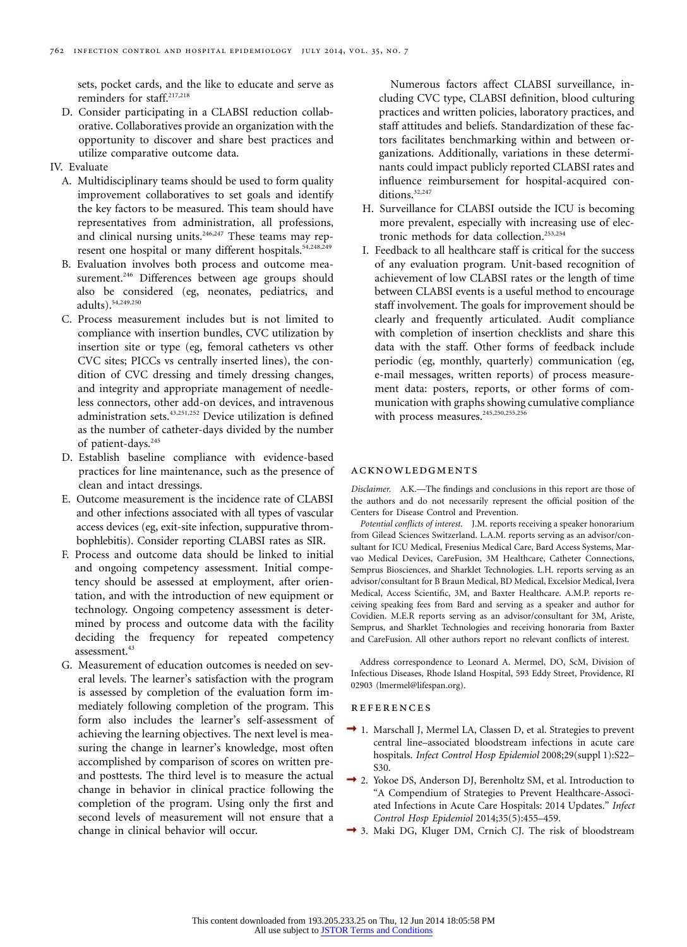sets, pocket cards, and the like to educate and serve as reminders for staff.<sup>217,218</sup>

- D. Consider participating in a CLABSI reduction collaborative. Collaboratives provide an organization with the opportunity to discover and share best practices and utilize comparative outcome data.
- IV. Evaluate
	- A. Multidisciplinary teams should be used to form quality improvement collaboratives to set goals and identify the key factors to be measured. This team should have representatives from administration, all professions, and clinical nursing units.<sup>246,247</sup> These teams may represent one hospital or many different hospitals.<sup>54,248,249</sup>
	- B. Evaluation involves both process and outcome measurement.<sup>246</sup> Differences between age groups should also be considered (eg, neonates, pediatrics, and adults).54,249,250
	- C. Process measurement includes but is not limited to compliance with insertion bundles, CVC utilization by insertion site or type (eg, femoral catheters vs other CVC sites; PICCs vs centrally inserted lines), the condition of CVC dressing and timely dressing changes, and integrity and appropriate management of needleless connectors, other add-on devices, and intravenous administration sets.<sup>43,251,252</sup> Device utilization is defined as the number of catheter-days divided by the number of patient-days.<sup>245</sup>
	- D. Establish baseline compliance with evidence-based practices for line maintenance, such as the presence of clean and intact dressings.
	- E. Outcome measurement is the incidence rate of CLABSI and other infections associated with all types of vascular access devices (eg, exit-site infection, suppurative thrombophlebitis). Consider reporting CLABSI rates as SIR.
	- F. Process and outcome data should be linked to initial and ongoing competency assessment. Initial competency should be assessed at employment, after orientation, and with the introduction of new equipment or technology. Ongoing competency assessment is determined by process and outcome data with the facility deciding the frequency for repeated competency assessment.<sup>43</sup>
	- G. Measurement of education outcomes is needed on several levels. The learner's satisfaction with the program is assessed by completion of the evaluation form immediately following completion of the program. This form also includes the learner's self-assessment of achieving the learning objectives. The next level is measuring the change in learner's knowledge, most often accomplished by comparison of scores on written preand posttests. The third level is to measure the actual change in behavior in clinical practice following the completion of the program. Using only the first and second levels of measurement will not ensure that a change in clinical behavior will occur.

Numerous factors affect CLABSI surveillance, including CVC type, CLABSI definition, blood culturing practices and written policies, laboratory practices, and staff attitudes and beliefs. Standardization of these factors facilitates benchmarking within and between organizations. Additionally, variations in these determinants could impact publicly reported CLABSI rates and influence reimbursement for hospital-acquired conditions.<sup>32,247</sup>

- H. Surveillance for CLABSI outside the ICU is becoming more prevalent, especially with increasing use of electronic methods for data collection.253,254
- I. Feedback to all healthcare staff is critical for the success of any evaluation program. Unit-based recognition of achievement of low CLABSI rates or the length of time between CLABSI events is a useful method to encourage staff involvement. The goals for improvement should be clearly and frequently articulated. Audit compliance with completion of insertion checklists and share this data with the staff. Other forms of feedback include periodic (eg, monthly, quarterly) communication (eg, e-mail messages, written reports) of process measurement data: posters, reports, or other forms of communication with graphs showing cumulative compliance with process measures.<sup>245,250,255,256</sup>

#### acknowledgments

*Disclaimer.* A.K.—The findings and conclusions in this report are those of the authors and do not necessarily represent the official position of the Centers for Disease Control and Prevention.

*Potential conflicts of interest.* J.M. reports receiving a speaker honorarium from Gilead Sciences Switzerland. L.A.M. reports serving as an advisor/consultant for ICU Medical, Fresenius Medical Care, Bard Access Systems, Marvao Medical Devices, CareFusion, 3M Healthcare, Catheter Connections, Semprus Biosciences, and Sharklet Technologies. L.H. reports serving as an advisor/consultant for B Braun Medical, BD Medical, Excelsior Medical, Ivera Medical, Access Scientific, 3M, and Baxter Healthcare. A.M.P. reports receiving speaking fees from Bard and serving as a speaker and author for Covidien. M.E.R reports serving as an advisor/consultant for 3M, Ariste, Semprus, and Sharklet Technologies and receiving honoraria from Baxter and CareFusion. All other authors report no relevant conflicts of interest.

Address correspondence to Leonard A. Mermel, DO, ScM, Division of Infectious Diseases, Rhode Island Hospital, 593 Eddy Street, Providence, RI 02903 [\(lmermel@lifespan.org\)](mailto:lmermel@lifespan.org).

#### references

- → 1. Marschall J, Mermel LA, Classen D, et al. Strategies to prevent central line–associated bloodstream infections in acute care hospitals. *Infect Control Hosp Epidemiol* 2008;29(suppl 1):S22– S30.
- 2. Yokoe DS, Anderson DJ, Berenholtz SM, et al. Introduction to "A Compendium of Strategies to Prevent Healthcare-Associated Infections in Acute Care Hospitals: 2014 Updates." *Infect Control Hosp Epidemiol* 2014;35(5):455–459.
- 3. Maki DG, Kluger DM, Crnich CJ. The risk of bloodstream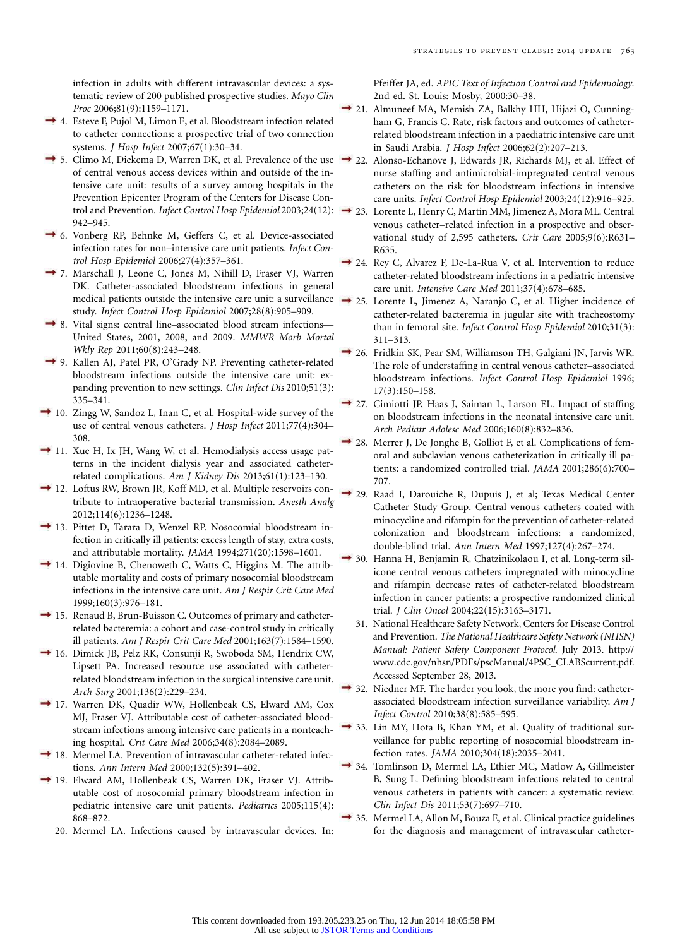infection in adults with different intravascular devices: a systematic review of 200 published prospective studies. *Mayo Clin Proc* 2006;81(9):1159–1171.

- 4. Esteve F, Pujol M, Limon E, et al. Bloodstream infection related to catheter connections: a prospective trial of two connection systems. *J Hosp Infect* 2007;67(1):30–34.
- of central venous access devices within and outside of the intensive care unit: results of a survey among hospitals in the Prevention Epicenter Program of the Centers for Disease Con-942–945.
- 6. Vonberg RP, Behnke M, Geffers C, et al. Device-associated infection rates for non–intensive care unit patients. *Infect Control Hosp Epidemiol* 2006;27(4):357–361.
- 7. Marschall J, Leone C, Jones M, Nihill D, Fraser VJ, Warren DK. Catheter-associated bloodstream infections in general medical patients outside the intensive care unit: a surveillance study. *Infect Control Hosp Epidemiol* 2007;28(8):905–909.
- 8. Vital signs: central line–associated blood stream infections— United States, 2001, 2008, and 2009. *MMWR Morb Mortal Wkly Rep* 2011;60(8):243–248.
- 9. Kallen AJ, Patel PR, O'Grady NP. Preventing catheter-related bloodstream infections outside the intensive care unit: expanding prevention to new settings. *Clin Infect Dis* 2010;51(3): 335–341.
- → 10. Zingg W, Sandoz L, Inan C, et al. Hospital-wide survey of the use of central venous catheters. *J Hosp Infect* 2011;77(4):304– 308.
- $\rightarrow$  11. Xue H, Ix JH, Wang W, et al. Hemodialysis access usage patterns in the incident dialysis year and associated catheterrelated complications. *Am J Kidney Dis* 2013;61(1):123–130.
- → 12. Loftus RW, Brown JR, Koff MD, et al. Multiple reservoirs contribute to intraoperative bacterial transmission. *Anesth Analg* 2012;114(6):1236–1248.
- 13. Pittet D, Tarara D, Wenzel RP. Nosocomial bloodstream infection in critically ill patients: excess length of stay, extra costs, and attributable mortality. *JAMA* 1994;271(20):1598–1601.
- <sup>1</sup> 14. Digiovine B, Chenoweth C, Watts C, Higgins M. The attributable mortality and costs of primary nosocomial bloodstream infections in the intensive care unit. *Am J Respir Crit Care Med* 1999;160(3):976–181.
- <sup>1</sup> 15. Renaud B, Brun-Buisson C. Outcomes of primary and catheterrelated bacteremia: a cohort and case-control study in critically ill patients. *Am J Respir Crit Care Med* 2001;163(7):1584–1590.
- 16. Dimick JB, Pelz RK, Consunji R, Swoboda SM, Hendrix CW, Lipsett PA. Increased resource use associated with catheterrelated bloodstream infection in the surgical intensive care unit. *Arch Surg* 2001;136(2):229–234.
- 17. Warren DK, Quadir WW, Hollenbeak CS, Elward AM, Cox MJ, Fraser VJ. Attributable cost of catheter-associated bloodstream infections among intensive care patients in a nonteaching hospital. *Crit Care Med* 2006;34(8):2084–2089.
- <sup>1</sup> 18. Mermel LA. Prevention of intravascular catheter-related infections. *Ann Intern Med* 2000;132(5):391–402.
- 19. Elward AM, Hollenbeak CS, Warren DK, Fraser VJ. Attributable cost of nosocomial primary bloodstream infection in pediatric intensive care unit patients. *Pediatrics* 2005;115(4): 868–872.
	- 20. Mermel LA. Infections caused by intravascular devices. In:

Pfeiffer JA, ed. *APIC Text of Infection Control and Epidemiology*. 2nd ed. St. Louis: Mosby, 2000:30–38.

- 21. Almuneef MA, Memish ZA, Balkhy HH, Hijazi O, Cunningham G, Francis C. Rate, risk factors and outcomes of catheterrelated bloodstream infection in a paediatric intensive care unit in Saudi Arabia. *J Hosp Infect* 2006;62(2):207–213.
- 5. Climo M, Diekema D, Warren DK, et al. Prevalence of the use 22. Alonso-Echanove J, Edwards JR, Richards MJ, et al. Effect of nurse staffing and antimicrobial-impregnated central venous catheters on the risk for bloodstream infections in intensive care units. *Infect Control Hosp Epidemiol* 2003;24(12):916–925.
	- trol and Prevention. *Infect Control Hosp Epidemiol* 2003;24(12): 23. Lorente L, Henry C, Martin MM, Jimenez A, Mora ML. Central venous catheter–related infection in a prospective and observational study of 2,595 catheters. *Crit Care* 2005;9(6):R631– R635.
		- → 24. Rey C, Alvarez F, De-La-Rua V, et al. Intervention to reduce catheter-related bloodstream infections in a pediatric intensive care unit. *Intensive Care Med* 2011;37(4):678–685.
		- 25. Lorente L, Jimenez A, Naranjo C, et al. Higher incidence of catheter-related bacteremia in jugular site with tracheostomy than in femoral site. *Infect Control Hosp Epidemiol* 2010;31(3): 311–313.
		- 26. Fridkin SK, Pear SM, Williamson TH, Galgiani JN, Jarvis WR. The role of understaffing in central venous catheter–associated bloodstream infections. *Infect Control Hosp Epidemiol* 1996; 17(3):150–158.
		- <sup>2</sup> 27. Cimiotti JP, Haas J, Saiman L, Larson EL. Impact of staffing on bloodstream infections in the neonatal intensive care unit. *Arch Pediatr Adolesc Med* 2006;160(8):832–836.
		- <sup>2</sup> 28. Merrer J, De Jonghe B, Golliot F, et al. Complications of femoral and subclavian venous catheterization in critically ill patients: a randomized controlled trial. *JAMA* 2001;286(6):700– 707.
		- 29. Raad I, Darouiche R, Dupuis J, et al; Texas Medical Center Catheter Study Group. Central venous catheters coated with minocycline and rifampin for the prevention of catheter-related colonization and bloodstream infections: a randomized, double-blind trial. *Ann Intern Med* 1997;127(4):267–274.
		- 30. Hanna H, Benjamin R, Chatzinikolaou I, et al. Long-term silicone central venous catheters impregnated with minocycline and rifampin decrease rates of catheter-related bloodstream infection in cancer patients: a prospective randomized clinical trial. *J Clin Oncol* 2004;22(15):3163–3171.
		- 31. National Healthcare Safety Network, Centers for Disease Control and Prevention. *The National Healthcare Safety Network (NHSN) Manual: Patient Safety Component Protocol*. July 2013. [http://](http://www.cdc.gov/nhsn/PDFs/pscManual/4PSC_CLABScurrent.pdf) [www.cdc.gov/nhsn/PDFs/pscManual/4PSC\\_CLABScurrent.pdf.](http://www.cdc.gov/nhsn/PDFs/pscManual/4PSC_CLABScurrent.pdf) Accessed September 28, 2013.
		- 32. Niedner MF. The harder you look, the more you find: catheterassociated bloodstream infection surveillance variability. *Am J Infect Control* 2010;38(8):585–595.
			- 33. Lin MY, Hota B, Khan YM, et al. Quality of traditional surveillance for public reporting of nosocomial bloodstream infection rates. *JAMA* 2010;304(18):2035–2041.
		- 34. Tomlinson D, Mermel LA, Ethier MC, Matlow A, Gillmeister B, Sung L. Defining bloodstream infections related to central venous catheters in patients with cancer: a systematic review. *Clin Infect Dis* 2011;53(7):697–710.
		- **→ 35. Mermel LA, Allon M, Bouza E, et al. Clinical practice guidelines** for the diagnosis and management of intravascular catheter-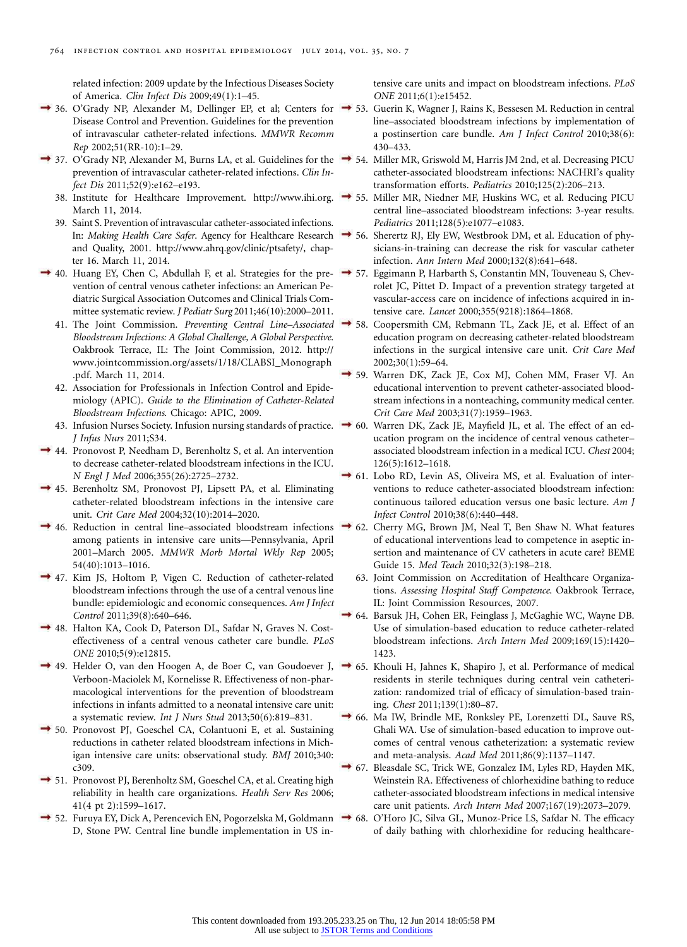related infection: 2009 update by the Infectious Diseases Society of America. *Clin Infect Dis* 2009;49(1):1–45.

- Disease Control and Prevention. Guidelines for the prevention of intravascular catheter-related infections. *MMWR Recomm Rep* 2002;51(RR-10):1–29.
- prevention of intravascular catheter-related infections. *Clin Infect Dis* 2011;52(9):e162–e193.
	- March 11, 2014.
	- 39. Saint S. Prevention of intravascular catheter-associated infections. In: *Making Health Care Safer*. Agency for Healthcare Research and Quality, 2001. [http://www.ahrq.gov/clinic/ptsafety/,](http://www.ahrq.gov/clinic/ptsafety/) chapter 16. March 11, 2014.
- 40. Huang EY, Chen C, Abdullah F, et al. Strategies for the prevention of central venous catheter infections: an American Pediatric Surgical Association Outcomes and Clinical Trials Committee systematic review. *J Pediatr Surg* 2011;46(10):2000–2011.
	- *Bloodstream Infections: A Global Challenge, A Global Perspective*. Oakbrook Terrace, IL: The Joint Commission, 2012. [http://](http://www.jointcommission.org/assets/1/18/CLABSI_Monograph.pdf) [www.jointcommission.org/assets/1/18/CLABSI\\_Monograph](http://www.jointcommission.org/assets/1/18/CLABSI_Monograph.pdf) [.pdf.](http://www.jointcommission.org/assets/1/18/CLABSI_Monograph.pdf) March 11, 2014.
	- 42. Association for Professionals in Infection Control and Epidemiology (APIC). *Guide to the Elimination of Catheter-Related Bloodstream Infections*. Chicago: APIC, 2009.
	- 43. Infusion Nurses Society. Infusion nursing standards of practice. *J Infus Nurs* 2011;S34.
- 44. Pronovost P, Needham D, Berenholtz S, et al. An intervention to decrease catheter-related bloodstream infections in the ICU. *N Engl J Med* 2006;355(26):2725–2732.
- 45. Berenholtz SM, Pronovost PJ, Lipsett PA, et al. Eliminating catheter-related bloodstream infections in the intensive care unit. *Crit Care Med* 2004;32(10):2014–2020.
- 46. Reduction in central line–associated bloodstream infections among patients in intensive care units—Pennsylvania, April 2001–March 2005. *MMWR Morb Mortal Wkly Rep* 2005; 54(40):1013–1016.
- 47. Kim JS, Holtom P, Vigen C. Reduction of catheter-related bloodstream infections through the use of a central venous line bundle: epidemiologic and economic consequences. *Am J Infect Control* 2011;39(8):640–646.
- 48. Halton KA, Cook D, Paterson DL, Safdar N, Graves N. Costeffectiveness of a central venous catheter care bundle. *PLoS ONE* 2010;5(9):e12815.
- 49. Helder O, van den Hoogen A, de Boer C, van Goudoever J, Verboon-Maciolek M, Kornelisse R. Effectiveness of non-pharmacological interventions for the prevention of bloodstream infections in infants admitted to a neonatal intensive care unit: a systematic review. *Int J Nurs Stud* 2013;50(6):819–831.
- 50. Pronovost PJ, Goeschel CA, Colantuoni E, et al. Sustaining reductions in catheter related bloodstream infections in Michigan intensive care units: observational study. *BMJ* 2010;340: c309.
- $\rightarrow$  51. Pronovost PJ, Berenholtz SM, Goeschel CA, et al. Creating high reliability in health care organizations. *Health Serv Res* 2006; 41(4 pt 2):1599–1617.
- D, Stone PW. Central line bundle implementation in US in-

tensive care units and impact on bloodstream infections. *PLoS ONE* 2011;6(1):e15452.

- 36. O'Grady NP, Alexander M, Dellinger EP, et al; Centers for 53. Guerin K, Wagner J, Rains K, Bessesen M. Reduction in central line–associated bloodstream infections by implementation of a postinsertion care bundle. *Am J Infect Control* 2010;38(6): 430–433.
- 37. O'Grady NP, Alexander M, Burns LA, et al. Guidelines for the 54. Miller MR, Griswold M, Harris JM 2nd, et al. Decreasing PICU catheter-associated bloodstream infections: NACHRI's quality transformation efforts. *Pediatrics* 2010;125(2):206–213.
- 38. Institute for Healthcare Improvement. [http://www.ihi.org.](http://www.ihi.org) 55. Miller MR, Niedner MF, Huskins WC, et al. Reducing PICU central line–associated bloodstream infections: 3-year results. *Pediatrics* 2011;128(5):e1077–e1083.
	- 56. Sherertz RJ, Ely EW, Westbrook DM, et al. Education of physicians-in-training can decrease the risk for vascular catheter infection. *Ann Intern Med* 2000;132(8):641–648.
	- 57. Eggimann P, Harbarth S, Constantin MN, Touveneau S, Chevrolet JC, Pittet D. Impact of a prevention strategy targeted at vascular-access care on incidence of infections acquired in intensive care. *Lancet* 2000;355(9218):1864–1868.
- 41. The Joint Commission. *Preventing Central Line–Associated* 58. Coopersmith CM, Rebmann TL, Zack JE, et al. Effect of an education program on decreasing catheter-related bloodstream infections in the surgical intensive care unit. *Crit Care Med* 2002;30(1):59–64.
	- 59. Warren DK, Zack JE, Cox MJ, Cohen MM, Fraser VJ. An educational intervention to prevent catheter-associated bloodstream infections in a nonteaching, community medical center. *Crit Care Med* 2003;31(7):1959–1963.
	- 60. Warren DK, Zack JE, Mayfield JL, et al. The effect of an education program on the incidence of central venous catheter– associated bloodstream infection in a medical ICU. *Chest* 2004; 126(5):1612–1618.
	- 61. Lobo RD, Levin AS, Oliveira MS, et al. Evaluation of interventions to reduce catheter-associated bloodstream infection: continuous tailored education versus one basic lecture. *Am J Infect Control* 2010;38(6):440–448.
	- 62. Cherry MG, Brown JM, Neal T, Ben Shaw N. What features of educational interventions lead to competence in aseptic insertion and maintenance of CV catheters in acute care? BEME Guide 15. *Med Teach* 2010;32(3):198–218.
		- 63. Joint Commission on Accreditation of Healthcare Organizations. *Assessing Hospital Staff Competence*. Oakbrook Terrace, IL: Joint Commission Resources, 2007.
	- 64. Barsuk JH, Cohen ER, Feinglass J, McGaghie WC, Wayne DB. Use of simulation-based education to reduce catheter-related bloodstream infections. *Arch Intern Med* 2009;169(15):1420– 1423.
	- 65. Khouli H, Jahnes K, Shapiro J, et al. Performance of medical residents in sterile techniques during central vein catheterization: randomized trial of efficacy of simulation-based training. *Chest* 2011;139(1):80–87.
	- 66. Ma IW, Brindle ME, Ronksley PE, Lorenzetti DL, Sauve RS, Ghali WA. Use of simulation-based education to improve outcomes of central venous catheterization: a systematic review and meta-analysis. *Acad Med* 2011;86(9):1137–1147.
	- 67. Bleasdale SC, Trick WE, Gonzalez IM, Lyles RD, Hayden MK, Weinstein RA. Effectiveness of chlorhexidine bathing to reduce catheter-associated bloodstream infections in medical intensive care unit patients. *Arch Intern Med* 2007;167(19):2073–2079.
- 52. Furuya EY, Dick A, Perencevich EN, Pogorzelska M, Goldmann 68. O'Horo JC, Silva GL, Munoz-Price LS, Safdar N. The efficacy of daily bathing with chlorhexidine for reducing healthcare-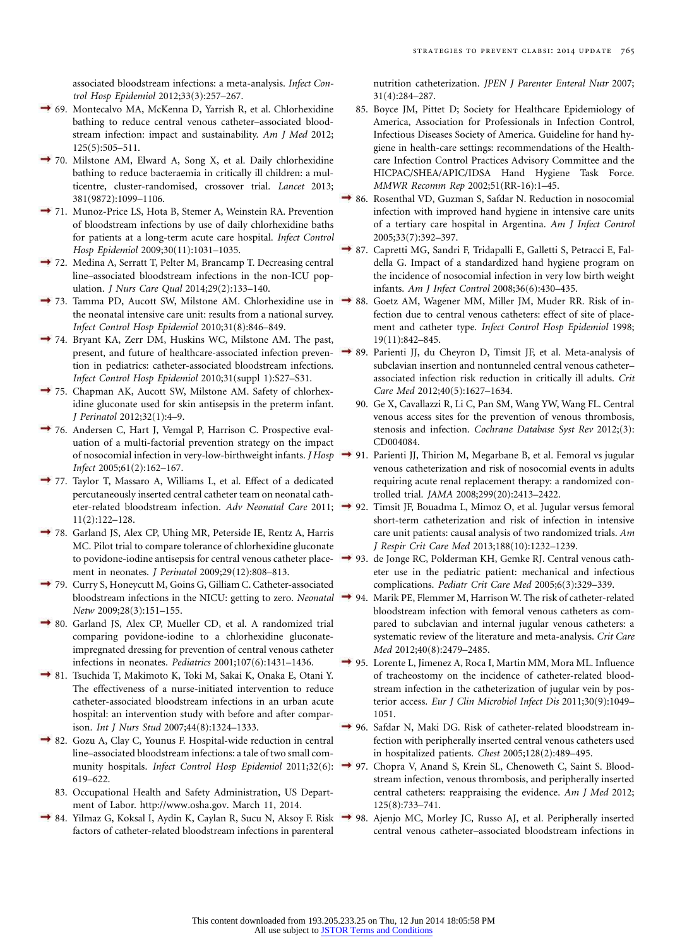associated bloodstream infections: a meta-analysis. *Infect Control Hosp Epidemiol* 2012;33(3):257–267.

- 69. Montecalvo MA, McKenna D, Yarrish R, et al. Chlorhexidine bathing to reduce central venous catheter–associated bloodstream infection: impact and sustainability. *Am J Med* 2012; 125(5):505–511.
- 70. Milstone AM, Elward A, Song X, et al. Daily chlorhexidine bathing to reduce bacteraemia in critically ill children: a multicentre, cluster-randomised, crossover trial. *Lancet* 2013; 381(9872):1099–1106.
- 71. Munoz-Price LS, Hota B, Stemer A, Weinstein RA. Prevention of bloodstream infections by use of daily chlorhexidine baths for patients at a long-term acute care hospital. *Infect Control Hosp Epidemiol* 2009;30(11):1031–1035.
- <sup>2</sup> 72. Medina A, Serratt T, Pelter M, Brancamp T. Decreasing central line–associated bloodstream infections in the non-ICU population. *J Nurs Care Qual* 2014;29(2):133–140.
- 73. Tamma PD, Aucott SW, Milstone AM. Chlorhexidine use in the neonatal intensive care unit: results from a national survey. *Infect Control Hosp Epidemiol* 2010;31(8):846–849.
- 74. Bryant KA, Zerr DM, Huskins WC, Milstone AM. The past, present, and future of healthcare-associated infection prevention in pediatrics: catheter-associated bloodstream infections. *Infect Control Hosp Epidemiol* 2010;31(suppl 1):S27–S31.
- 75. Chapman AK, Aucott SW, Milstone AM. Safety of chlorhexidine gluconate used for skin antisepsis in the preterm infant. *J Perinatol* 2012;32(1):4–9.
- 76. Andersen C, Hart J, Vemgal P, Harrison C. Prospective evaluation of a multi-factorial prevention strategy on the impact of nosocomial infection in very-low-birthweight infants. *J Hosp Infect* 2005;61(2):162–167.
- 77. Taylor T, Massaro A, Williams L, et al. Effect of a dedicated percutaneously inserted central catheter team on neonatal catheter-related bloodstream infection. *Adv Neonatal Care* 2011; 11(2):122–128.
- 78. Garland JS, Alex CP, Uhing MR, Peterside IE, Rentz A, Harris MC. Pilot trial to compare tolerance of chlorhexidine gluconate to povidone-iodine antisepsis for central venous catheter placement in neonates. *J Perinatol* 2009;29(12):808–813.
- 79. Curry S, Honeycutt M, Goins G, Gilliam C. Catheter-associated *Netw* 2009;28(3):151–155.
- 80. Garland JS, Alex CP, Mueller CD, et al. A randomized trial comparing povidone-iodine to a chlorhexidine gluconateimpregnated dressing for prevention of central venous catheter infections in neonates. *Pediatrics* 2001;107(6):1431–1436.
- 81. Tsuchida T, Makimoto K, Toki M, Sakai K, Onaka E, Otani Y. The effectiveness of a nurse-initiated intervention to reduce catheter-associated bloodstream infections in an urban acute hospital: an intervention study with before and after comparison. *Int J Nurs Stud* 2007;44(8):1324–1333.
- → 82. Gozu A, Clay C, Younus F. Hospital-wide reduction in central line–associated bloodstream infections: a tale of two small community hospitals. *Infect Control Hosp Epidemiol* 2011;32(6): 619–622.
	- 83. Occupational Health and Safety Administration, US Department of Labor. [http://www.osha.gov.](http://www.osha.gov) March 11, 2014.
- 84. Yilmaz G, Koksal I, Aydin K, Caylan R, Sucu N, Aksoy F. Risk factors of catheter-related bloodstream infections in parenteral

nutrition catheterization. *JPEN J Parenter Enteral Nutr* 2007; 31(4):284–287.

- 85. Boyce JM, Pittet D; Society for Healthcare Epidemiology of America, Association for Professionals in Infection Control, Infectious Diseases Society of America. Guideline for hand hygiene in health-care settings: recommendations of the Healthcare Infection Control Practices Advisory Committee and the HICPAC/SHEA/APIC/IDSA Hand Hygiene Task Force. *MMWR Recomm Rep* 2002;51(RR-16):1–45.
- 86. Rosenthal VD, Guzman S, Safdar N. Reduction in nosocomial infection with improved hand hygiene in intensive care units of a tertiary care hospital in Argentina. *Am J Infect Control* 2005;33(7):392–397.
- 87. Capretti MG, Sandri F, Tridapalli E, Galletti S, Petracci E, Faldella G. Impact of a standardized hand hygiene program on the incidence of nosocomial infection in very low birth weight infants. *Am J Infect Control* 2008;36(6):430–435.
- 88. Goetz AM, Wagener MM, Miller JM, Muder RR. Risk of infection due to central venous catheters: effect of site of placement and catheter type. *Infect Control Hosp Epidemiol* 1998; 19(11):842–845.
- 89. Parienti JJ, du Cheyron D, Timsit JF, et al. Meta-analysis of subclavian insertion and nontunneled central venous catheter– associated infection risk reduction in critically ill adults. *Crit Care Med* 2012;40(5):1627–1634.
- 90. Ge X, Cavallazzi R, Li C, Pan SM, Wang YW, Wang FL. Central venous access sites for the prevention of venous thrombosis, stenosis and infection. *Cochrane Database Syst Rev* 2012;(3): CD004084.
- 91. Parienti JJ, Thirion M, Megarbane B, et al. Femoral vs jugular venous catheterization and risk of nosocomial events in adults requiring acute renal replacement therapy: a randomized controlled trial. *JAMA* 2008;299(20):2413–2422.
- Timsit JF, Bouadma L, Mimoz O, et al. Jugular versus femoral short-term catheterization and risk of infection in intensive care unit patients: causal analysis of two randomized trials. *Am J Respir Crit Care Med* 2013;188(10):1232–1239.
- 93. de Jonge RC, Polderman KH, Gemke RJ. Central venous catheter use in the pediatric patient: mechanical and infectious complications. *Pediatr Crit Care Med* 2005;6(3):329–339.
- bloodstream infections in the NICU: getting to zero. *Neonatal* 94. Marik PE, Flemmer M, Harrison W. The risk of catheter-related bloodstream infection with femoral venous catheters as compared to subclavian and internal jugular venous catheters: a systematic review of the literature and meta-analysis. *Crit Care Med* 2012;40(8):2479–2485.
	- → 95. Lorente L, Jimenez A, Roca I, Martin MM, Mora ML. Influence of tracheostomy on the incidence of catheter-related bloodstream infection in the catheterization of jugular vein by posterior access. *Eur J Clin Microbiol Infect Dis* 2011;30(9):1049– 1051.
	- 96. Safdar N, Maki DG. Risk of catheter-related bloodstream infection with peripherally inserted central venous catheters used in hospitalized patients. *Chest* 2005;128(2):489–495.
	- 97. Chopra V, Anand S, Krein SL, Chenoweth C, Saint S. Bloodstream infection, venous thrombosis, and peripherally inserted central catheters: reappraising the evidence. *Am J Med* 2012; 125(8):733–741.
	- 98. Ajenjo MC, Morley JC, Russo AJ, et al. Peripherally inserted central venous catheter–associated bloodstream infections in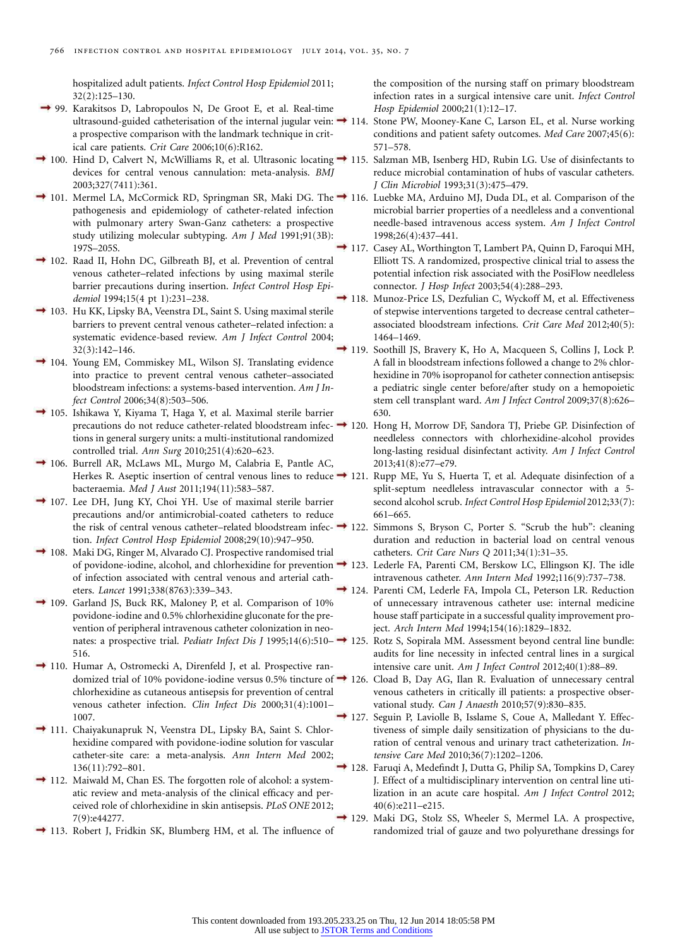hospitalized adult patients. *Infect Control Hosp Epidemiol* 2011; 32(2):125–130.

- 99. Karakitsos D, Labropoulos N, De Groot E, et al. Real-time a prospective comparison with the landmark technique in critical care patients. *Crit Care* 2006;10(6):R162.
- 100. Hind D, Calvert N, McWilliams R, et al. Ultrasonic locating 115. Salzman MB, Isenberg HD, Rubin LG. Use of disinfectants to devices for central venous cannulation: meta-analysis. *BMJ* 2003;327(7411):361.
- pathogenesis and epidemiology of catheter-related infection with pulmonary artery Swan-Ganz catheters: a prospective study utilizing molecular subtyping. *Am J Med* 1991;91(3B): 197S–205S.
- 102. Raad II, Hohn DC, Gilbreath BJ, et al. Prevention of central venous catheter–related infections by using maximal sterile barrier precautions during insertion. *Infect Control Hosp Epidemiol* 1994;15(4 pt 1):231–238.
- → 103. Hu KK, Lipsky BA, Veenstra DL, Saint S. Using maximal sterile barriers to prevent central venous catheter–related infection: a systematic evidence-based review. *Am J Infect Control* 2004; 32(3):142–146.
- 104. Young EM, Commiskey ML, Wilson SJ. Translating evidence into practice to prevent central venous catheter–associated bloodstream infections: a systems-based intervention. *Am J Infect Control* 2006;34(8):503–506.
- 105. Ishikawa Y, Kiyama T, Haga Y, et al. Maximal sterile barrier tions in general surgery units: a multi-institutional randomized controlled trial. *Ann Surg* 2010;251(4):620–623.
- 106. Burrell AR, McLaws ML, Murgo M, Calabria E, Pantle AC, Herkes R. Aseptic insertion of central venous lines to reduce  $\rightarrow$  121. bacteraemia. *Med J Aust* 2011;194(11):583–587.
- 107. Lee DH, Jung KY, Choi YH. Use of maximal sterile barrier precautions and/or antimicrobial-coated catheters to reduce the risk of central venous catheter–related bloodstream infection. *Infect Control Hosp Epidemiol* 2008;29(10):947–950.
- 108. Maki DG, Ringer M, Alvarado CJ. Prospective randomised trial of infection associated with central venous and arterial catheters. *Lancet* 1991;338(8763):339–343.
- 109. Garland JS, Buck RK, Maloney P, et al. Comparison of 10% povidone-iodine and 0.5% chlorhexidine gluconate for the prevention of peripheral intravenous catheter colonization in neo-516.
- 110. Humar A, Ostromecki A, Direnfeld J, et al. Prospective ranchlorhexidine as cutaneous antisepsis for prevention of central venous catheter infection. *Clin Infect Dis* 2000;31(4):1001– 1007.
- 111. Chaiyakunapruk N, Veenstra DL, Lipsky BA, Saint S. Chlorhexidine compared with povidone-iodine solution for vascular catheter-site care: a meta-analysis. *Ann Intern Med* 2002; 136(11):792–801.
- → 112. Maiwald M, Chan ES. The forgotten role of alcohol: a systematic review and meta-analysis of the clinical efficacy and perceived role of chlorhexidine in skin antisepsis. *PLoS ONE* 2012; 7(9):e44277.
- → 113. Robert J, Fridkin SK, Blumberg HM, et al. The influence of

the composition of the nursing staff on primary bloodstream infection rates in a surgical intensive care unit. *Infect Control Hosp Epidemiol* 2000;21(1):12–17.

- ultrasound-guided catheterisation of the internal jugular vein: 114. Stone PW, Mooney-Kane C, Larson EL, et al. Nurse working conditions and patient safety outcomes. *Med Care* 2007;45(6): 571–578.
	- reduce microbial contamination of hubs of vascular catheters. *J Clin Microbiol* 1993;31(3):475–479.
- 101. Mermel LA, McCormick RD, Springman SR, Maki DG. The 116. Luebke MA, Arduino MJ, Duda DL, et al. Comparison of the microbial barrier properties of a needleless and a conventional needle-based intravenous access system. *Am J Infect Control* 1998;26(4):437–441.
	- <sup>+</sup> 117. Casey AL, Worthington T, Lambert PA, Quinn D, Faroqui MH, Elliott TS. A randomized, prospective clinical trial to assess the potential infection risk associated with the PosiFlow needleless connector. *J Hosp Infect* 2003;54(4):288–293.
		- Munoz-Price LS, Dezfulian C, Wyckoff M, et al. Effectiveness of stepwise interventions targeted to decrease central catheter– associated bloodstream infections. *Crit Care Med* 2012;40(5): 1464–1469.
	- → 119. Soothill JS, Bravery K, Ho A, Macqueen S, Collins J, Lock P. A fall in bloodstream infections followed a change to 2% chlorhexidine in 70% isopropanol for catheter connection antisepsis: a pediatric single center before/after study on a hemopoietic stem cell transplant ward. *Am J Infect Control* 2009;37(8):626– 630.
	- precautions do not reduce catheter-related bloodstream infec-120. Hong H, Morrow DF, Sandora TJ, Priebe GP. Disinfection of needleless connectors with chlorhexidine-alcohol provides long-lasting residual disinfectant activity. *Am J Infect Control* 2013;41(8):e77–e79.
		- Rupp ME, Yu S, Huerta T, et al. Adequate disinfection of a split-septum needleless intravascular connector with a 5 second alcohol scrub. *Infect Control Hosp Epidemiol* 2012;33(7): 661–665.
		- 122. Simmons S, Bryson C, Porter S. "Scrub the hub": cleaning duration and reduction in bacterial load on central venous catheters. *Crit Care Nurs Q* 2011;34(1):31–35.
	- of povidone-iodine, alcohol, and chlorhexidine for prevention 123. Lederle FA, Parenti CM, Berskow LC, Ellingson KJ. The idle intravenous catheter. *Ann Intern Med* 1992;116(9):737–738.
		- 124. Parenti CM, Lederle FA, Impola CL, Peterson LR. Reduction of unnecessary intravenous catheter use: internal medicine house staff participate in a successful quality improvement project. *Arch Intern Med* 1994;154(16):1829–1832.
	- nates: a prospective trial. *Pediatr Infect Dis J* 1995;14(6):510– 125. Rotz S, Sopirala MM. Assessment beyond central line bundle: audits for line necessity in infected central lines in a surgical intensive care unit. *Am J Infect Control* 2012;40(1):88–89.
	- domized trial of 10% povidone-iodine versus 0.5% tincture of 126. Cload B, Day AG, Ilan R. Evaluation of unnecessary central venous catheters in critically ill patients: a prospective observational study. *Can J Anaesth* 2010;57(9):830–835.
		- 127. Seguin P, Laviolle B, Isslame S, Coue A, Malledant Y. Effectiveness of simple daily sensitization of physicians to the duration of central venous and urinary tract catheterization. *Intensive Care Med* 2010;36(7):1202–1206.
		- → 128. Faruqi A, Medefindt J, Dutta G, Philip SA, Tompkins D, Carey J. Effect of a multidisciplinary intervention on central line utilization in an acute care hospital. *Am J Infect Control* 2012; 40(6):e211–e215.
		- 129. Maki DG, Stolz SS, Wheeler S, Mermel LA. A prospective, randomized trial of gauze and two polyurethane dressings for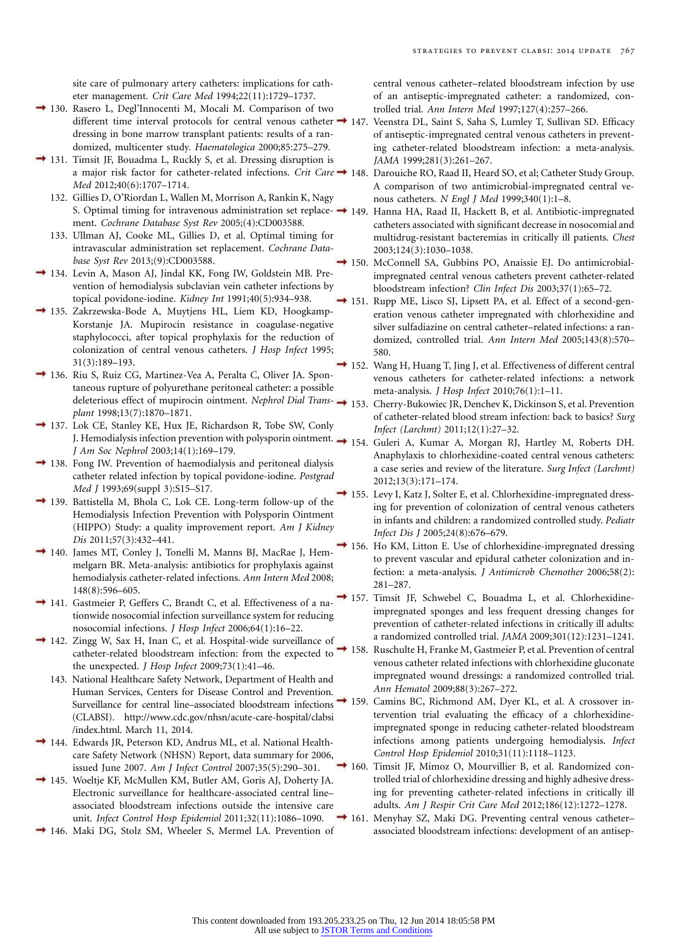site care of pulmonary artery catheters: implications for catheter management. *Crit Care Med* 1994;22(11):1729–1737.

- 130. Rasero L, Degl'Innocenti M, Mocali M. Comparison of two different time interval protocols for central venous catheter  $\rightarrow$  147. dressing in bone marrow transplant patients: results of a randomized, multicenter study. *Haematologica* 2000;85:275–279.
- → 131. Timsit JF, Bouadma L, Ruckly S, et al. Dressing disruption is *Med* 2012;40(6):1707–1714.
	- 132. Gillies D, O'Riordan L, Wallen M, Morrison A, Rankin K, Nagy ment. *Cochrane Database Syst Rev* 2005;(4):CD003588.
	- 133. Ullman AJ, Cooke ML, Gillies D, et al. Optimal timing for intravascular administration set replacement. *Cochrane Database Syst Rev* 2013;(9):CD003588.
- → 134. Levin A, Mason AJ, Jindal KK, Fong IW, Goldstein MB. Prevention of hemodialysis subclavian vein catheter infections by topical povidone-iodine. *Kidney Int* 1991;40(5):934–938.
- 135. Zakrzewska-Bode A, Muytjens HL, Liem KD, Hoogkamp-Korstanje JA. Mupirocin resistance in coagulase-negative staphylococci, after topical prophylaxis for the reduction of colonization of central venous catheters. *J Hosp Infect* 1995; 31(3):189–193.
- 136. Riu S, Ruiz CG, Martinez-Vea A, Peralta C, Oliver JA. Spontaneous rupture of polyurethane peritoneal catheter: a possible deleterious effect of mupirocin ointment. *Nephrol Dial Trans-*153. Cherry-Bukowiec JR, Denchev K, Dickinson S, et al. Prevention *plant* 1998;13(7):1870–1871.
- 137. Lok CE, Stanley KE, Hux JE, Richardson R, Tobe SW, Conly J. Hemodialysis infection prevention with polysporin ointment. 154. Guleri A, Kumar A, Morgan RJ, Hartley M, Roberts DH. *J Am Soc Nephrol* 2003;14(1):169–179.
- <sup>1</sup> 138. Fong IW. Prevention of haemodialysis and peritoneal dialysis catheter related infection by topical povidone-iodine. *Postgrad Med J* 1993;69(suppl 3):S15–S17.
- → 139. Battistella M, Bhola C, Lok CE. Long-term follow-up of the Hemodialysis Infection Prevention with Polysporin Ointment (HIPPO) Study: a quality improvement report. *Am J Kidney Dis* 2011;57(3):432–441.
- 140. James MT, Conley J, Tonelli M, Manns BJ, MacRae J, Hemmelgarn BR. Meta-analysis: antibiotics for prophylaxis against hemodialysis catheter-related infections. *Ann Intern Med* 2008; 148(8):596–605.
- 141. Gastmeier P, Geffers C, Brandt C, et al. Effectiveness of a nationwide nosocomial infection surveillance system for reducing nosocomial infections. *J Hosp Infect* 2006;64(1):16–22.
- 142. Zingg W, Sax H, Inan C, et al. Hospital-wide surveillance of catheter-related bloodstream infection: from the expected to the unexpected. *J Hosp Infect* 2009;73(1):41–46.
	- 143. National Healthcare Safety Network, Department of Health and Human Services, Centers for Disease Control and Prevention. Surveillance for central line–associated bloodstream infections (CLABSI). [http://www.cdc.gov/nhsn/acute-care-hospital/clabsi](http://www.cdc.gov/nhsn/acute-care-hospital/clabsi/index.html) [/index.html.](http://www.cdc.gov/nhsn/acute-care-hospital/clabsi/index.html) March 11, 2014.
- 144. Edwards JR, Peterson KD, Andrus ML, et al. National Healthcare Safety Network (NHSN) Report, data summary for 2006, issued June 2007. *Am J Infect Control* 2007;35(5):290–301.
- 145. Woeltje KF, McMullen KM, Butler AM, Goris AJ, Doherty JA. Electronic surveillance for healthcare-associated central line– associated bloodstream infections outside the intensive care unit. *Infect Control Hosp Epidemiol* 2011;32(11):1086–1090.
- 146. Maki DG, Stolz SM, Wheeler S, Mermel LA. Prevention of

central venous catheter–related bloodstream infection by use of an antiseptic-impregnated catheter: a randomized, controlled trial. *Ann Intern Med* 1997;127(4):257–266.

- Veenstra DL, Saint S, Saha S, Lumley T, Sullivan SD. Efficacy of antiseptic-impregnated central venous catheters in preventing catheter-related bloodstream infection: a meta-analysis. *JAMA* 1999;281(3):261–267.
- a major risk factor for catheter-related infections. *Crit Care* 148. Darouiche RO, Raad II, Heard SO, et al; Catheter Study Group. A comparison of two antimicrobial-impregnated central venous catheters. *N Engl J Med* 1999;340(1):1–8.
- S. Optimal timing for intravenous administration set replace-149. Hanna HA, Raad II, Hackett B, et al. Antibiotic-impregnated catheters associated with significant decrease in nosocomial and multidrug-resistant bacteremias in critically ill patients. *Chest* 2003;124(3):1030–1038.
	- 150. McConnell SA, Gubbins PO, Anaissie EJ. Do antimicrobialimpregnated central venous catheters prevent catheter-related bloodstream infection? *Clin Infect Dis* 2003;37(1):65–72.
	- 151. Rupp ME, Lisco SJ, Lipsett PA, et al. Effect of a second-generation venous catheter impregnated with chlorhexidine and silver sulfadiazine on central catheter–related infections: a randomized, controlled trial. *Ann Intern Med* 2005;143(8):570– 580.
	- <sup>1</sup> 152. Wang H, Huang T, Jing J, et al. Effectiveness of different central venous catheters for catheter-related infections: a network meta-analysis. *J Hosp Infect* 2010;76(1):1–11.
		- of catheter-related blood stream infection: back to basics? *Surg Infect (Larchmt)* 2011;12(1):27–32.
		- Anaphylaxis to chlorhexidine-coated central venous catheters: a case series and review of the literature. *Surg Infect (Larchmt)* 2012;13(3):171–174.
	- 155. Levy I, Katz J, Solter E, et al. Chlorhexidine-impregnated dressing for prevention of colonization of central venous catheters in infants and children: a randomized controlled study. *Pediatr Infect Dis J* 2005;24(8):676–679.
	- 156. Ho KM, Litton E. Use of chlorhexidine-impregnated dressing to prevent vascular and epidural catheter colonization and infection: a meta-analysis. *J Antimicrob Chemother* 2006;58(2): 281–287.
	- 157. Timsit JF, Schwebel C, Bouadma L, et al. Chlorhexidineimpregnated sponges and less frequent dressing changes for prevention of catheter-related infections in critically ill adults: a randomized controlled trial. *JAMA* 2009;301(12):1231–1241.
	- <sup>1</sup> 158. Ruschulte H, Franke M, Gastmeier P, et al. Prevention of central venous catheter related infections with chlorhexidine gluconate impregnated wound dressings: a randomized controlled trial. *Ann Hematol* 2009;88(3):267–272.
	- 159. Camins BC, Richmond AM, Dyer KL, et al. A crossover intervention trial evaluating the efficacy of a chlorhexidineimpregnated sponge in reducing catheter-related bloodstream infections among patients undergoing hemodialysis. *Infect Control Hosp Epidemiol* 2010;31(11):1118–1123.
	- 160. Timsit JF, Mimoz O, Mourvillier B, et al. Randomized controlled trial of chlorhexidine dressing and highly adhesive dressing for preventing catheter-related infections in critically ill adults. *Am J Respir Crit Care Med* 2012;186(12):1272–1278.
	- 161. Menyhay SZ, Maki DG. Preventing central venous catheter– associated bloodstream infections: development of an antisep-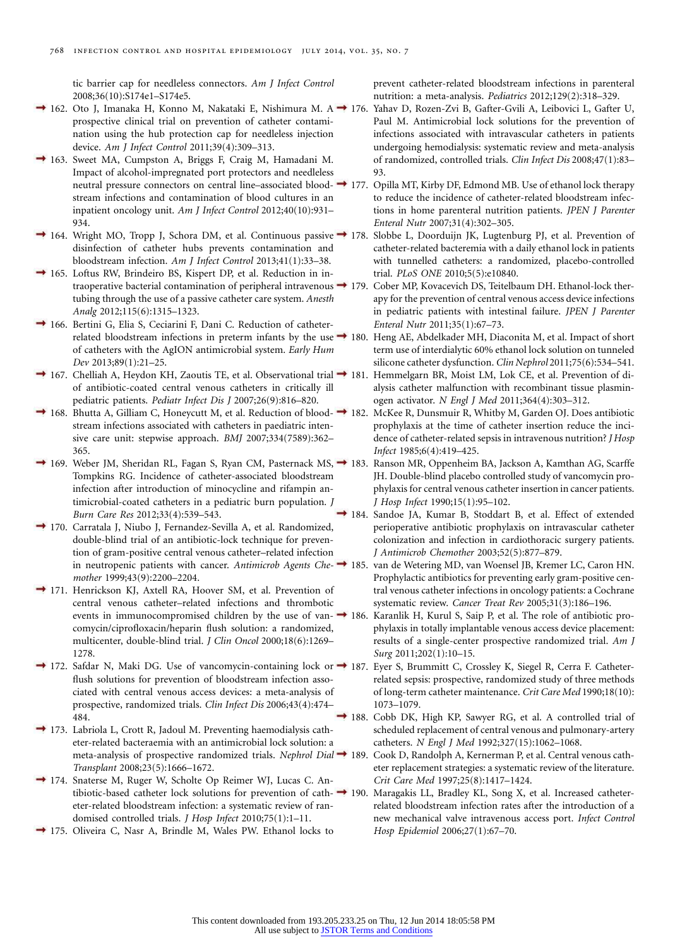tic barrier cap for needleless connectors. *Am J Infect Control* 2008;36(10):S174e1–S174e5.

- 162. Oto J, Imanaka H, Konno M, Nakataki E, Nishimura M. A 176. Yahav D, Rozen-Zvi B, Gafter-Gvili A, Leibovici L, Gafter U, prospective clinical trial on prevention of catheter contamination using the hub protection cap for needleless injection device. *Am J Infect Control* 2011;39(4):309–313.
- 163. Sweet MA, Cumpston A, Briggs F, Craig M, Hamadani M. Impact of alcohol-impregnated port protectors and needleless stream infections and contamination of blood cultures in an inpatient oncology unit. *Am J Infect Control* 2012;40(10):931– 934.
- 164. Wright MO, Tropp J, Schora DM, et al. Continuous passive 178. Slobbe L, Doorduijn JK, Lugtenburg PJ, et al. Prevention of disinfection of catheter hubs prevents contamination and bloodstream infection. *Am J Infect Control* 2013;41(1):33–38.
- 165. Loftus RW, Brindeiro BS, Kispert DP, et al. Reduction in intubing through the use of a passive catheter care system. *Anesth Analg* 2012;115(6):1315–1323.
- 166. Bertini G, Elia S, Ceciarini F, Dani C. Reduction of catheterof catheters with the AgION antimicrobial system. *Early Hum Dev* 2013;89(1):21–25.
- 167. Chelliah A, Heydon KH, Zaoutis TE, et al. Observational trial 181. Hemmelgarn BR, Moist LM, Lok CE, et al. Prevention of diof antibiotic-coated central venous catheters in critically ill pediatric patients. *Pediatr Infect Dis J* 2007;26(9):816–820.
- 168. Bhutta A, Gilliam C, Honeycutt M, et al. Reduction of blood-182. McKee R, Dunsmuir R, Whitby M, Garden OJ. Does antibiotic stream infections associated with catheters in paediatric intensive care unit: stepwise approach. *BMJ* 2007;334(7589):362– 365.
- 169. Weber JM, Sheridan RL, Fagan S, Ryan CM, Pasternack MS, 183. Ranson MR, Oppenheim BA, Jackson A, Kamthan AG, Scarffe Tompkins RG. Incidence of catheter-associated bloodstream infection after introduction of minocycline and rifampin antimicrobial-coated catheters in a pediatric burn population. *J Burn Care Res* 2012;33(4):539–543.
- 170. Carratala J, Niubo J, Fernandez-Sevilla A, et al. Randomized, double-blind trial of an antibiotic-lock technique for prevention of gram-positive central venous catheter–related infection *mother* 1999;43(9):2200–2204.
- 171. Henrickson KJ, Axtell RA, Hoover SM, et al. Prevention of central venous catheter–related infections and thrombotic comycin/ciprofloxacin/heparin flush solution: a randomized, multicenter, double-blind trial. *J Clin Oncol* 2000;18(6):1269– 1278.
- 172. Safdar N, Maki DG. Use of vancomycin-containing lock or  $\rightarrow$  187. Eyer S, Brummitt C, Crossley K, Siegel R, Cerra F. Catheterflush solutions for prevention of bloodstream infection associated with central venous access devices: a meta-analysis of prospective, randomized trials. *Clin Infect Dis* 2006;43(4):474– 484.
- 173. Labriola L, Crott R, Jadoul M. Preventing haemodialysis catheter-related bacteraemia with an antimicrobial lock solution: a *Transplant* 2008;23(5):1666–1672.
- 174. Snaterse M, Ruger W, Scholte Op Reimer WJ, Lucas C. Aneter-related bloodstream infection: a systematic review of randomised controlled trials. *J Hosp Infect* 2010;75(1):1–11.
- 175. Oliveira C, Nasr A, Brindle M, Wales PW. Ethanol locks to

prevent catheter-related bloodstream infections in parenteral nutrition: a meta-analysis. *Pediatrics* 2012;129(2):318–329.

- Paul M. Antimicrobial lock solutions for the prevention of infections associated with intravascular catheters in patients undergoing hemodialysis: systematic review and meta-analysis of randomized, controlled trials. *Clin Infect Dis* 2008;47(1):83– 93.
- neutral pressure connectors on central line–associated blood-177. Opilla MT, Kirby DF, Edmond MB. Use of ethanol lock therapy to reduce the incidence of catheter-related bloodstream infections in home parenteral nutrition patients. *JPEN J Parenter Enteral Nutr* 2007;31(4):302–305.
	- catheter-related bacteremia with a daily ethanol lock in patients with tunnelled catheters: a randomized, placebo-controlled trial. *PLoS ONE* 2010;5(5):e10840.
- traoperative bacterial contamination of peripheral intravenous 179. Cober MP, Kovacevich DS, Teitelbaum DH. Ethanol-lock therapy for the prevention of central venous access device infections in pediatric patients with intestinal failure. *JPEN J Parenter Enteral Nutr* 2011;35(1):67–73.
- related bloodstream infections in preterm infants by the use 180. Heng AE, Abdelkader MH, Diaconita M, et al. Impact of short term use of interdialytic 60% ethanol lock solution on tunneled silicone catheter dysfunction. *Clin Nephrol* 2011;75(6):534–541.
	- alysis catheter malfunction with recombinant tissue plasminogen activator. *N Engl J Med* 2011;364(4):303–312.
	- prophylaxis at the time of catheter insertion reduce the incidence of catheter-related sepsis in intravenous nutrition? *J Hosp Infect* 1985;6(4):419–425.
	- JH. Double-blind placebo controlled study of vancomycin prophylaxis for central venous catheter insertion in cancer patients. *J Hosp Infect* 1990;15(1):95–102.
	- 184. Sandoe JA, Kumar B, Stoddart B, et al. Effect of extended perioperative antibiotic prophylaxis on intravascular catheter colonization and infection in cardiothoracic surgery patients. *J Antimicrob Chemother* 2003;52(5):877–879.
- in neutropenic patients with cancer. *Antimicrob Agents Che-*185. van de Wetering MD, van Woensel JB, Kremer LC, Caron HN. Prophylactic antibiotics for preventing early gram-positive central venous catheter infections in oncology patients: a Cochrane systematic review. *Cancer Treat Rev* 2005;31(3):186–196.
- events in immunocompromised children by the use of van-186. Karanlik H, Kurul S, Saip P, et al. The role of antibiotic prophylaxis in totally implantable venous access device placement: results of a single-center prospective randomized trial. *Am J Surg* 2011;202(1):10–15.
	- related sepsis: prospective, randomized study of three methods of long-term catheter maintenance. *Crit Care Med* 1990;18(10): 1073–1079.
	- 188. Cobb DK, High KP, Sawyer RG, et al. A controlled trial of scheduled replacement of central venous and pulmonary-artery catheters. *N Engl J Med* 1992;327(15):1062–1068.
- meta-analysis of prospective randomized trials. *Nephrol Dial* 189. Cook D, Randolph A, Kernerman P, et al. Central venous catheter replacement strategies: a systematic review of the literature. *Crit Care Med* 1997;25(8):1417–1424.
- tibiotic-based catheter lock solutions for prevention of cath-190. Maragakis LL, Bradley KL, Song X, et al. Increased catheterrelated bloodstream infection rates after the introduction of a new mechanical valve intravenous access port. *Infect Control Hosp Epidemiol* 2006;27(1):67–70.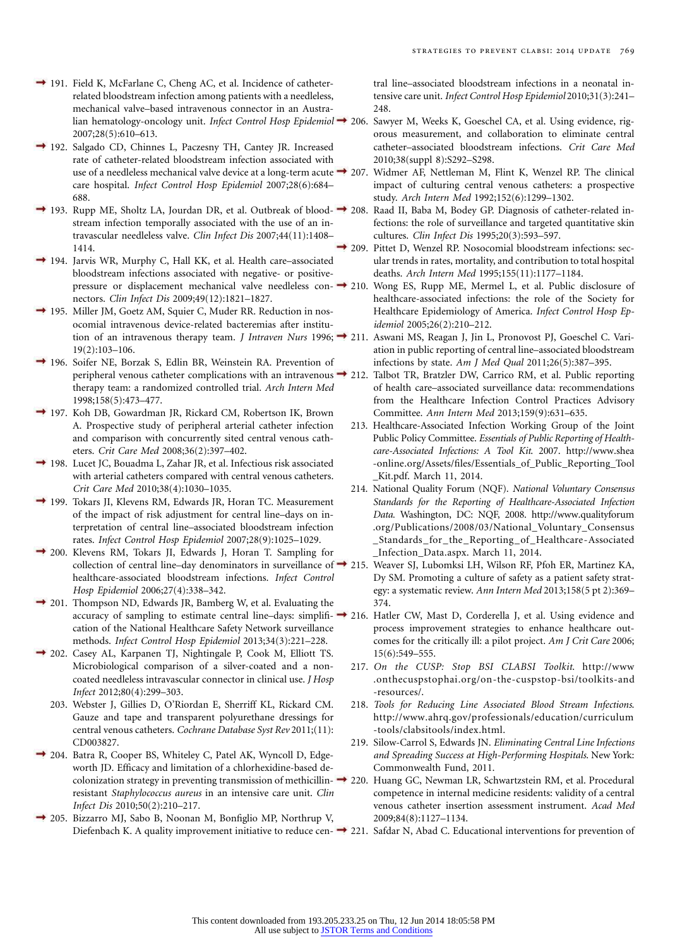- 191. Field K, McFarlane C, Cheng AC, et al. Incidence of catheterrelated bloodstream infection among patients with a needleless, mechanical valve–based intravenous connector in an Austra-2007;28(5):610–613.
- 192. Salgado CD, Chinnes L, Paczesny TH, Cantey JR. Increased rate of catheter-related bloodstream infection associated with care hospital. *Infect Control Hosp Epidemiol* 2007;28(6):684– 688.
- 193. Rupp ME, Sholtz LA, Jourdan DR, et al. Outbreak of blood-208. Raad II, Baba M, Bodey GP. Diagnosis of catheter-related instream infection temporally associated with the use of an intravascular needleless valve. *Clin Infect Dis* 2007;44(11):1408– 1414.
- → 194. Jarvis WR, Murphy C, Hall KK, et al. Health care–associated bloodstream infections associated with negative- or positivenectors. *Clin Infect Dis* 2009;49(12):1821–1827.
- <sup>1</sup> 195. Miller JM, Goetz AM, Squier C, Muder RR. Reduction in nosocomial intravenous device-related bacteremias after institu-19(2):103–106.
- 196. Soifer NE, Borzak S, Edlin BR, Weinstein RA. Prevention of therapy team: a randomized controlled trial. *Arch Intern Med* 1998;158(5):473–477.
- 197. Koh DB, Gowardman JR, Rickard CM, Robertson IK, Brown A. Prospective study of peripheral arterial catheter infection and comparison with concurrently sited central venous catheters. *Crit Care Med* 2008;36(2):397–402.
- → 198. Lucet JC, Bouadma L, Zahar JR, et al. Infectious risk associated with arterial catheters compared with central venous catheters. *Crit Care Med* 2010;38(4):1030–1035.
- → 199. Tokars JI, Klevens RM, Edwards JR, Horan TC. Measurement of the impact of risk adjustment for central line–days on interpretation of central line–associated bloodstream infection rates. *Infect Control Hosp Epidemiol* 2007;28(9):1025–1029.
- 200. Klevens RM, Tokars JI, Edwards J, Horan T. Sampling for healthcare-associated bloodstream infections. *Infect Control Hosp Epidemiol* 2006;27(4):338–342.
- → 201. Thompson ND, Edwards JR, Bamberg W, et al. Evaluating the cation of the National Healthcare Safety Network surveillance methods. *Infect Control Hosp Epidemiol* 2013;34(3):221–228.
- 202. Casey AL, Karpanen TJ, Nightingale P, Cook M, Elliott TS. Microbiological comparison of a silver-coated and a noncoated needleless intravascular connector in clinical use. *J Hosp Infect* 2012;80(4):299–303.
	- 203. Webster J, Gillies D, O'Riordan E, Sherriff KL, Rickard CM. Gauze and tape and transparent polyurethane dressings for central venous catheters. *Cochrane Database Syst Rev* 2011;(11): CD003827.
- 204. Batra R, Cooper BS, Whiteley C, Patel AK, Wyncoll D, Edgeworth JD. Efficacy and limitation of a chlorhexidine-based deresistant *Staphylococcus aureus* in an intensive care unit. *Clin Infect Dis* 2010;50(2):210–217.
- 205. Bizzarro MJ, Sabo B, Noonan M, Bonfiglio MP, Northrup V,

tral line–associated bloodstream infections in a neonatal intensive care unit. *Infect Control Hosp Epidemiol* 2010;31(3):241– 248.

- lian hematology-oncology unit. *Infect Control Hosp Epidemiol* 206. Sawyer M, Weeks K, Goeschel CA, et al. Using evidence, rigorous measurement, and collaboration to eliminate central catheter–associated bloodstream infections. *Crit Care Med* 2010;38(suppl 8):S292–S298.
- use of a needleless mechanical valve device at a long-term acute 207. Widmer AF, Nettleman M, Flint K, Wenzel RP. The clinical impact of culturing central venous catheters: a prospective study. *Arch Intern Med* 1992;152(6):1299–1302.
	- fections: the role of surveillance and targeted quantitative skin cultures. *Clin Infect Dis* 1995;20(3):593–597.
	- 209. Pittet D, Wenzel RP. Nosocomial bloodstream infections: secular trends in rates, mortality, and contribution to total hospital deaths. *Arch Intern Med* 1995;155(11):1177–1184.
- pressure or displacement mechanical valve needleless con-210. Wong ES, Rupp ME, Mermel L, et al. Public disclosure of healthcare-associated infections: the role of the Society for Healthcare Epidemiology of America. *Infect Control Hosp Epidemiol* 2005;26(2):210–212.
- tion of an intravenous therapy team. *J Intraven Nurs* 1996; 211. Aswani MS, Reagan J, Jin L, Pronovost PJ, Goeschel C. Variation in public reporting of central line–associated bloodstream infections by state. *Am J Med Qual* 2011;26(5):387–395.
- peripheral venous catheter complications with an intravenous 212. Talbot TR, Bratzler DW, Carrico RM, et al. Public reporting of health care–associated surveillance data: recommendations from the Healthcare Infection Control Practices Advisory Committee. *Ann Intern Med* 2013;159(9):631–635.
	- 213. Healthcare-Associated Infection Working Group of the Joint Public Policy Committee. *Essentials of Public Reporting of Healthcare-Associated Infections: A Tool Kit*. 2007. [http://www.shea](http://www.shea-online.org/Assets/files/Essentials_of_Public_Reporting_Tool_Kit.pdf) [-online.org/Assets/files/Essentials\\_of\\_Public\\_Reporting\\_Tool](http://www.shea-online.org/Assets/files/Essentials_of_Public_Reporting_Tool_Kit.pdf) [\\_Kit.pdf.](http://www.shea-online.org/Assets/files/Essentials_of_Public_Reporting_Tool_Kit.pdf) March 11, 2014.
	- 214. National Quality Forum (NQF). *National Voluntary Consensus Standards for the Reporting of Healthcare-Associated Infection Data.* Washington, DC: NQF, 2008. [http://www.qualityforum](http://www.qualityforum.org/Publications/2008/03/National_Voluntary_Consensus_Standards_for_the_Reporting_of_Healthcare-Associated_Infection_Data.aspx) [.org/Publications/2008/03/National\\_Voluntary\\_Consensus](http://www.qualityforum.org/Publications/2008/03/National_Voluntary_Consensus_Standards_for_the_Reporting_of_Healthcare-Associated_Infection_Data.aspx) Standards for the Reporting of Healthcare-Associated [\\_Infection\\_Data.aspx.](http://www.qualityforum.org/Publications/2008/03/National_Voluntary_Consensus_Standards_for_the_Reporting_of_Healthcare-Associated_Infection_Data.aspx) March 11, 2014.
- collection of central line–day denominators in surveillance of 215. Weaver SJ, Lubomksi LH, Wilson RF, Pfoh ER, Martinez KA, Dy SM. Promoting a culture of safety as a patient safety strategy: a systematic review. *Ann Intern Med* 2013;158(5 pt 2):369– 374.
- accuracy of sampling to estimate central line–days: simplifi-216. Hatler CW, Mast D, Corderella J, et al. Using evidence and process improvement strategies to enhance healthcare outcomes for the critically ill: a pilot project. *Am J Crit Care* 2006; 15(6):549–555.
	- 217. *On the CUSP: Stop BSI CLABSI Toolkit*. [http://www](http://www.onthecuspstophai.org/on-the-cuspstop-bsi/toolkits-and-resources/) [.onthecuspstophai.org/on-the-cuspstop-bsi/toolkits-and](http://www.onthecuspstophai.org/on-the-cuspstop-bsi/toolkits-and-resources/) [-resources/.](http://www.onthecuspstophai.org/on-the-cuspstop-bsi/toolkits-and-resources/)
	- 218. *Tools for Reducing Line Associated Blood Stream Infections*. [http://www.ahrq.gov/professionals/education/curriculum](http://www.ahrq.gov/professionals/education/curriculum-tools/clabsitools/index.html) [-tools/clabsitools/index.html.](http://www.ahrq.gov/professionals/education/curriculum-tools/clabsitools/index.html)
	- 219. Silow-Carrol S, Edwards JN. *Eliminating Central Line Infections and Spreading Success at High-Performing Hospitals*. New York: Commonwealth Fund, 2011.
- colonization strategy in preventing transmission of methicillin-220. Huang GC, Newman LR, Schwartzstein RM, et al. Procedural competence in internal medicine residents: validity of a central venous catheter insertion assessment instrument. *Acad Med* 2009;84(8):1127–1134.
- Diefenbach K. A quality improvement initiative to reduce cen-  $\rightarrow$  221. Safdar N, Abad C. Educational interventions for prevention of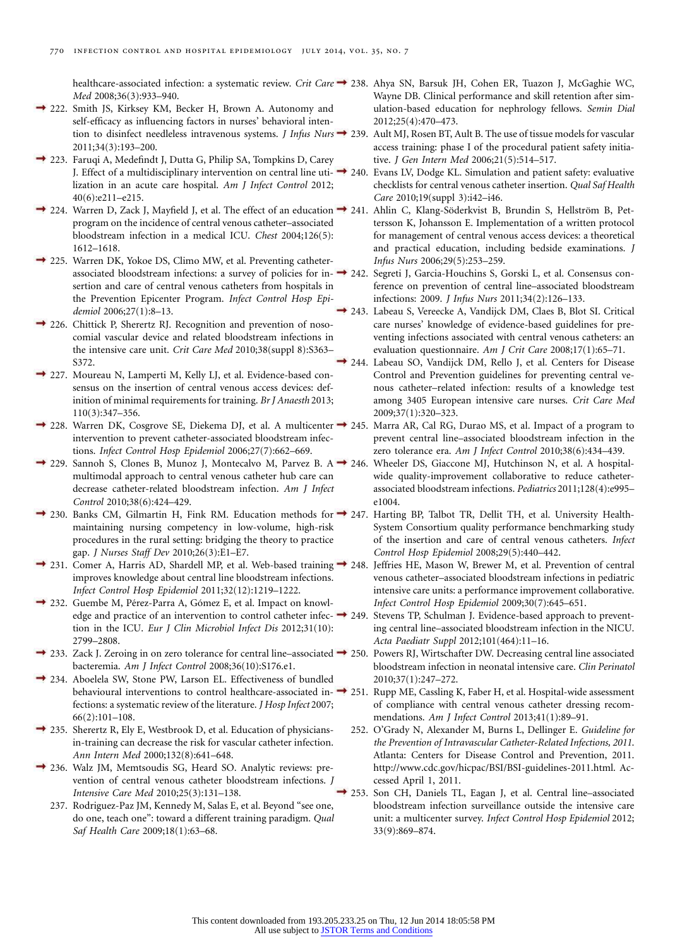healthcare-associated infection: a systematic review. *Crit Care* 238. Ahya SN, Barsuk JH, Cohen ER, Tuazon J, McGaghie WC, *Med* 2008;36(3):933–940.

- 222. Smith JS, Kirksey KM, Becker H, Brown A. Autonomy and self-efficacy as influencing factors in nurses' behavioral inten-2011;34(3):193–200.
- <sup>2</sup> 223. Faruqi A, Medefindt J, Dutta G, Philip SA, Tompkins D, Carey lization in an acute care hospital. *Am J Infect Control* 2012; 40(6):e211–e215.
- 224. Warren D, Zack J, Mayfield J, et al. The effect of an education → 241. Ahlin C, Klang-Söderkvist B, Brundin S, Hellström B, Petprogram on the incidence of central venous catheter–associated bloodstream infection in a medical ICU. *Chest* 2004;126(5): 1612–1618.
- <sup>2</sup> 225. Warren DK, Yokoe DS, Climo MW, et al. Preventing catheterassociated bloodstream infections: a survey of policies for in- $\rightarrow$  242. sertion and care of central venous catheters from hospitals in the Prevention Epicenter Program. *Infect Control Hosp Epidemiol* 2006;27(1):8–13.
- <sup>2</sup> 226. Chittick P, Sherertz RJ. Recognition and prevention of nosocomial vascular device and related bloodstream infections in the intensive care unit. *Crit Care Med* 2010;38(suppl 8):S363– S372.
- 227. Moureau N, Lamperti M, Kelly LJ, et al. Evidence-based consensus on the insertion of central venous access devices: definition of minimal requirements for training. *Br J Anaesth* 2013; 110(3):347–356.
- 228. Warren DK, Cosgrove SE, Diekema DJ, et al. A multicenter 245. Marra AR, Cal RG, Durao MS, et al. Impact of a program to intervention to prevent catheter-associated bloodstream infections. *Infect Control Hosp Epidemiol* 2006;27(7):662–669.
- 229. Sannoh S, Clones B, Munoz J, Montecalvo M, Parvez B. A 246. Wheeler DS, Giaccone MJ, Hutchinson N, et al. A hospitalmultimodal approach to central venous catheter hub care can decrease catheter-related bloodstream infection. *Am J Infect Control* 2010;38(6):424–429.
- 230. Banks CM, Gilmartin H, Fink RM. Education methods for 247. Harting BP, Talbot TR, Dellit TH, et al. University Healthmaintaining nursing competency in low-volume, high-risk procedures in the rural setting: bridging the theory to practice gap. *J Nurses Staff Dev* 2010;26(3):E1–E7.
- 231. Comer A, Harris AD, Shardell MP, et al. Web-based training 248. Jeffries HE, Mason W, Brewer M, et al. Prevention of central improves knowledge about central line bloodstream infections. *Infect Control Hosp Epidemiol* 2011;32(12):1219–1222.
- $\rightarrow$  232. Guembe M, Pérez-Parra A, Gómez E, et al. Impact on knowltion in the ICU. *Eur J Clin Microbiol Infect Dis* 2012;31(10): 2799–2808.
- 233. Zack J. Zeroing in on zero tolerance for central line–associated 250. Powers RJ, Wirtschafter DW. Decreasing central line associated bacteremia. *Am J Infect Control* 2008;36(10):S176.e1.
- 234. Aboelela SW, Stone PW, Larson EL. Effectiveness of bundled fections: a systematic review of the literature. *J Hosp Infect* 2007; 66(2):101–108.
- <sup>2</sup> 235. Sherertz R, Ely E, Westbrook D, et al. Education of physiciansin-training can decrease the risk for vascular catheter infection. *Ann Intern Med* 2000;132(8):641–648.
- 236. Walz JM, Memtsoudis SG, Heard SO. Analytic reviews: prevention of central venous catheter bloodstream infections. *J Intensive Care Med* 2010;25(3):131–138.
	- 237. Rodriguez-Paz JM, Kennedy M, Salas E, et al. Beyond "see one, do one, teach one": toward a different training paradigm. *Qual Saf Health Care* 2009;18(1):63–68.
- Wayne DB. Clinical performance and skill retention after simulation-based education for nephrology fellows. *Semin Dial* 2012;25(4):470–473.
- tion to disinfect needleless intravenous systems. *J Infus Nurs* 239. Ault MJ, Rosen BT, Ault B. The use of tissue models for vascular access training: phase I of the procedural patient safety initiative. *J Gen Intern Med* 2006;21(5):514–517.
- J. Effect of a multidisciplinary intervention on central line uti-240. Evans LV, Dodge KL. Simulation and patient safety: evaluative checklists for central venous catheter insertion. *Qual Saf Health Care* 2010;19(suppl 3):i42–i46.
	- tersson K, Johansson E. Implementation of a written protocol for management of central venous access devices: a theoretical and practical education, including bedside examinations. *J Infus Nurs* 2006;29(5):253–259.
	- Segreti J, Garcia-Houchins S, Gorski L, et al. Consensus conference on prevention of central line–associated bloodstream infections: 2009. *J Infus Nurs* 2011;34(2):126–133.
	- 243. Labeau S, Vereecke A, Vandijck DM, Claes B, Blot SI. Critical care nurses' knowledge of evidence-based guidelines for preventing infections associated with central venous catheters: an evaluation questionnaire. *Am J Crit Care* 2008;17(1):65–71.
	- 244. Labeau SO, Vandijck DM, Rello J, et al. Centers for Disease Control and Prevention guidelines for preventing central venous catheter–related infection: results of a knowledge test among 3405 European intensive care nurses. *Crit Care Med* 2009;37(1):320–323.
		- prevent central line–associated bloodstream infection in the zero tolerance era. *Am J Infect Control* 2010;38(6):434–439.
		- wide quality-improvement collaborative to reduce catheterassociated bloodstream infections. *Pediatrics* 2011;128(4):e995– e1004.
		- System Consortium quality performance benchmarking study of the insertion and care of central venous catheters. *Infect Control Hosp Epidemiol* 2008;29(5):440–442.
		- venous catheter–associated bloodstream infections in pediatric intensive care units: a performance improvement collaborative. *Infect Control Hosp Epidemiol* 2009;30(7):645–651.
- edge and practice of an intervention to control catheter infec-249. Stevens TP, Schulman J. Evidence-based approach to preventing central line–associated bloodstream infection in the NICU. *Acta Paediatr Suppl* 2012;101(464):11–16.
	- bloodstream infection in neonatal intensive care. *Clin Perinatol* 2010;37(1):247–272.
- behavioural interventions to control healthcare-associated in-251. Rupp ME, Cassling K, Faber H, et al. Hospital-wide assessment of compliance with central venous catheter dressing recommendations. *Am J Infect Control* 2013;41(1):89–91.
	- 252. O'Grady N, Alexander M, Burns L, Dellinger E. *Guideline for the Prevention of Intravascular Catheter-Related Infections, 2011*. Atlanta: Centers for Disease Control and Prevention, 2011. [http://www.cdc.gov/hicpac/BSI/BSI-guidelines-2011.html.](http://www.cdc.gov/hicpac/BSI/BSI-guidelines-2011.html) Accessed April 1, 2011.
	- 253. Son CH, Daniels TL, Eagan J, et al. Central line–associated bloodstream infection surveillance outside the intensive care unit: a multicenter survey. *Infect Control Hosp Epidemiol* 2012; 33(9):869–874.